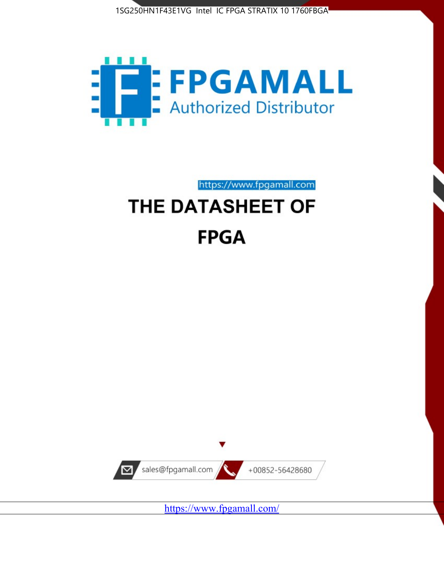



https://www.fpgamall.com

# THE DATASHEET OF **FPGA**



<https://www.fpgamall.com/>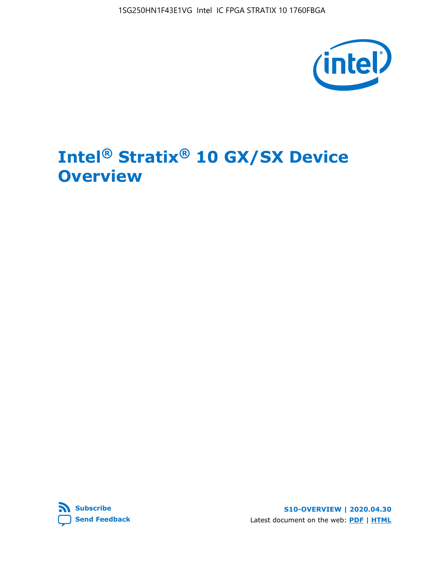1SG250HN1F43E1VG Intel IC FPGA STRATIX 10 1760FBGA



# **Intel® Stratix® 10 GX/SX Device Overview**



**S10-OVERVIEW | 2020.04.30** Latest document on the web: **[PDF](https://www.intel.com/content/dam/www/programmable/us/en/pdfs/literature/hb/stratix-10/s10-overview.pdf)** | **[HTML](https://www.intel.com/content/www/us/en/programmable/documentation/joc1442261161666.html)**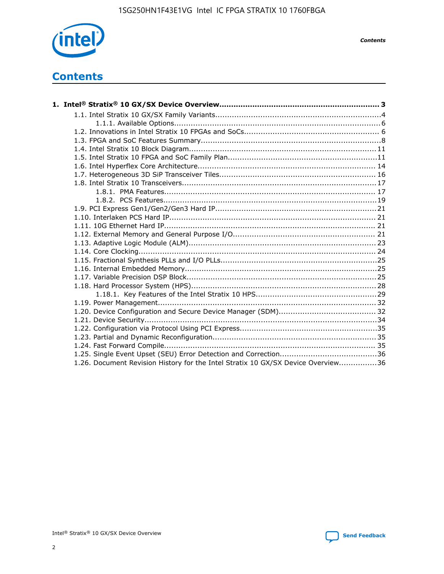

*Contents*

## **Contents**

| 1.26. Document Revision History for the Intel Stratix 10 GX/SX Device Overview36 |  |
|----------------------------------------------------------------------------------|--|

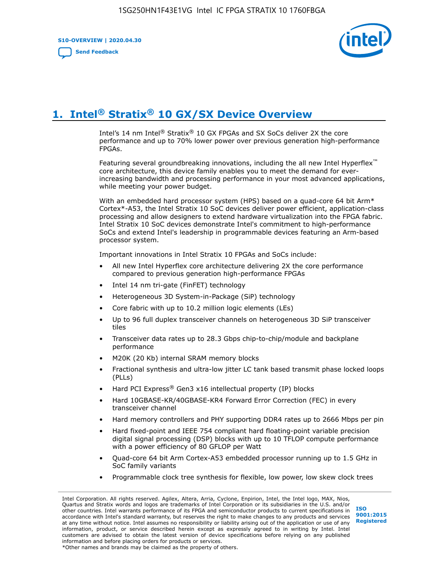**S10-OVERVIEW | 2020.04.30**

**[Send Feedback](mailto:FPGAtechdocfeedback@intel.com?subject=Feedback%20on%20Intel%20Stratix%2010%20GX/SX%20Device%20Overview%20(S10-OVERVIEW%202020.04.30)&body=We%20appreciate%20your%20feedback.%20In%20your%20comments,%20also%20specify%20the%20page%20number%20or%20paragraph.%20Thank%20you.)**



# **1. Intel® Stratix® 10 GX/SX Device Overview**

Intel's 14 nm Intel® Stratix® 10 GX FPGAs and SX SoCs deliver 2X the core performance and up to 70% lower power over previous generation high-performance FPGAs.

Featuring several groundbreaking innovations, including the all new Intel Hyperflex™ core architecture, this device family enables you to meet the demand for everincreasing bandwidth and processing performance in your most advanced applications, while meeting your power budget.

With an embedded hard processor system (HPS) based on a quad-core 64 bit Arm\* Cortex\*-A53, the Intel Stratix 10 SoC devices deliver power efficient, application-class processing and allow designers to extend hardware virtualization into the FPGA fabric. Intel Stratix 10 SoC devices demonstrate Intel's commitment to high-performance SoCs and extend Intel's leadership in programmable devices featuring an Arm-based processor system.

Important innovations in Intel Stratix 10 FPGAs and SoCs include:

- All new Intel Hyperflex core architecture delivering 2X the core performance compared to previous generation high-performance FPGAs
- Intel 14 nm tri-gate (FinFET) technology
- Heterogeneous 3D System-in-Package (SiP) technology
- Core fabric with up to 10.2 million logic elements (LEs)
- Up to 96 full duplex transceiver channels on heterogeneous 3D SiP transceiver tiles
- Transceiver data rates up to 28.3 Gbps chip-to-chip/module and backplane performance
- M20K (20 Kb) internal SRAM memory blocks
- Fractional synthesis and ultra-low jitter LC tank based transmit phase locked loops (PLLs)
- Hard PCI Express<sup>®</sup> Gen3 x16 intellectual property (IP) blocks
- Hard 10GBASE-KR/40GBASE-KR4 Forward Error Correction (FEC) in every transceiver channel
- Hard memory controllers and PHY supporting DDR4 rates up to 2666 Mbps per pin
- Hard fixed-point and IEEE 754 compliant hard floating-point variable precision digital signal processing (DSP) blocks with up to 10 TFLOP compute performance with a power efficiency of 80 GFLOP per Watt
- Quad-core 64 bit Arm Cortex-A53 embedded processor running up to 1.5 GHz in SoC family variants
- Programmable clock tree synthesis for flexible, low power, low skew clock trees

Intel Corporation. All rights reserved. Agilex, Altera, Arria, Cyclone, Enpirion, Intel, the Intel logo, MAX, Nios, Quartus and Stratix words and logos are trademarks of Intel Corporation or its subsidiaries in the U.S. and/or other countries. Intel warrants performance of its FPGA and semiconductor products to current specifications in accordance with Intel's standard warranty, but reserves the right to make changes to any products and services at any time without notice. Intel assumes no responsibility or liability arising out of the application or use of any information, product, or service described herein except as expressly agreed to in writing by Intel. Intel customers are advised to obtain the latest version of device specifications before relying on any published information and before placing orders for products or services. \*Other names and brands may be claimed as the property of others.

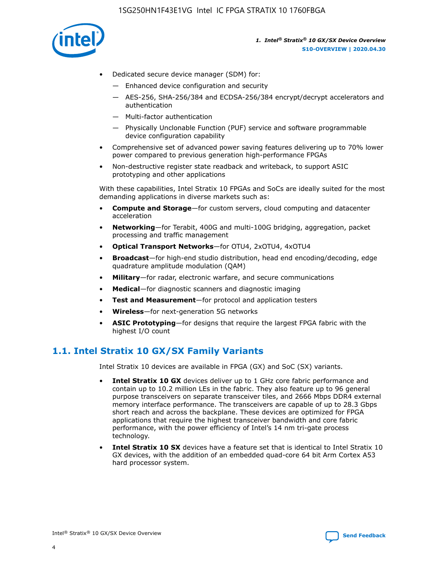

- Dedicated secure device manager (SDM) for:
	- Enhanced device configuration and security
	- AES-256, SHA-256/384 and ECDSA-256/384 encrypt/decrypt accelerators and authentication
	- Multi-factor authentication
	- Physically Unclonable Function (PUF) service and software programmable device configuration capability
- Comprehensive set of advanced power saving features delivering up to 70% lower power compared to previous generation high-performance FPGAs
- Non-destructive register state readback and writeback, to support ASIC prototyping and other applications

With these capabilities, Intel Stratix 10 FPGAs and SoCs are ideally suited for the most demanding applications in diverse markets such as:

- **Compute and Storage**—for custom servers, cloud computing and datacenter acceleration
- **Networking**—for Terabit, 400G and multi-100G bridging, aggregation, packet processing and traffic management
- **Optical Transport Networks**—for OTU4, 2xOTU4, 4xOTU4
- **Broadcast**—for high-end studio distribution, head end encoding/decoding, edge quadrature amplitude modulation (QAM)
- **Military**—for radar, electronic warfare, and secure communications
- **Medical**—for diagnostic scanners and diagnostic imaging
- **Test and Measurement**—for protocol and application testers
- **Wireless**—for next-generation 5G networks
- **ASIC Prototyping**—for designs that require the largest FPGA fabric with the highest I/O count

### **1.1. Intel Stratix 10 GX/SX Family Variants**

Intel Stratix 10 devices are available in FPGA (GX) and SoC (SX) variants.

- **Intel Stratix 10 GX** devices deliver up to 1 GHz core fabric performance and contain up to 10.2 million LEs in the fabric. They also feature up to 96 general purpose transceivers on separate transceiver tiles, and 2666 Mbps DDR4 external memory interface performance. The transceivers are capable of up to 28.3 Gbps short reach and across the backplane. These devices are optimized for FPGA applications that require the highest transceiver bandwidth and core fabric performance, with the power efficiency of Intel's 14 nm tri-gate process technology.
- **Intel Stratix 10 SX** devices have a feature set that is identical to Intel Stratix 10 GX devices, with the addition of an embedded quad-core 64 bit Arm Cortex A53 hard processor system.

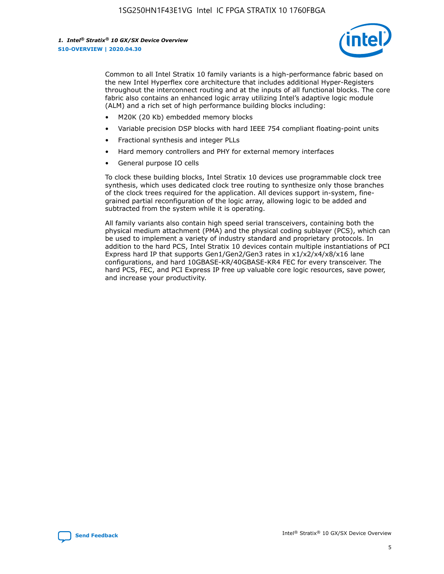

Common to all Intel Stratix 10 family variants is a high-performance fabric based on the new Intel Hyperflex core architecture that includes additional Hyper-Registers throughout the interconnect routing and at the inputs of all functional blocks. The core fabric also contains an enhanced logic array utilizing Intel's adaptive logic module (ALM) and a rich set of high performance building blocks including:

- M20K (20 Kb) embedded memory blocks
- Variable precision DSP blocks with hard IEEE 754 compliant floating-point units
- Fractional synthesis and integer PLLs
- Hard memory controllers and PHY for external memory interfaces
- General purpose IO cells

To clock these building blocks, Intel Stratix 10 devices use programmable clock tree synthesis, which uses dedicated clock tree routing to synthesize only those branches of the clock trees required for the application. All devices support in-system, finegrained partial reconfiguration of the logic array, allowing logic to be added and subtracted from the system while it is operating.

All family variants also contain high speed serial transceivers, containing both the physical medium attachment (PMA) and the physical coding sublayer (PCS), which can be used to implement a variety of industry standard and proprietary protocols. In addition to the hard PCS, Intel Stratix 10 devices contain multiple instantiations of PCI Express hard IP that supports Gen1/Gen2/Gen3 rates in x1/x2/x4/x8/x16 lane configurations, and hard 10GBASE-KR/40GBASE-KR4 FEC for every transceiver. The hard PCS, FEC, and PCI Express IP free up valuable core logic resources, save power, and increase your productivity.

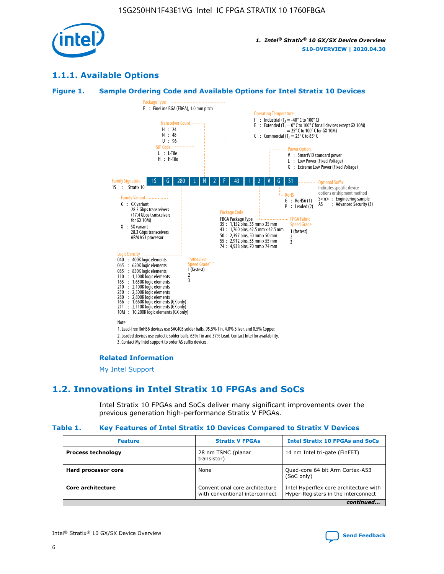

### **1.1.1. Available Options**

#### **Figure 1. Sample Ordering Code and Available Options for Intel Stratix 10 Devices**



3. Contact My Intel support to order AS suffix devices.

#### **Related Information**

[My Intel Support](https://www.intel.com/content/www/us/en/programmable/my-intel/mal-home.html)

### **1.2. Innovations in Intel Stratix 10 FPGAs and SoCs**

Intel Stratix 10 FPGAs and SoCs deliver many significant improvements over the previous generation high-performance Stratix V FPGAs.

#### **Table 1. Key Features of Intel Stratix 10 Devices Compared to Stratix V Devices**

| <b>Feature</b>            | <b>Stratix V FPGAs</b>                                           | <b>Intel Stratix 10 FPGAs and SoCs</b>                                        |
|---------------------------|------------------------------------------------------------------|-------------------------------------------------------------------------------|
| <b>Process technology</b> | 28 nm TSMC (planar<br>transistor)                                | 14 nm Intel tri-gate (FinFET)                                                 |
| Hard processor core       | None                                                             | Quad-core 64 bit Arm Cortex-A53<br>(SoC only)                                 |
| Core architecture         | Conventional core architecture<br>with conventional interconnect | Intel Hyperflex core architecture with<br>Hyper-Registers in the interconnect |
|                           |                                                                  | continued                                                                     |

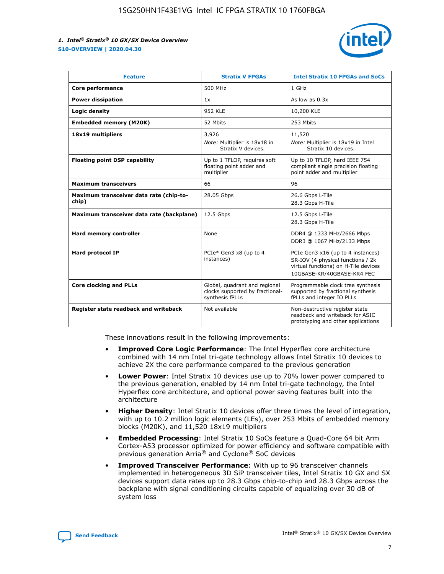

| <b>Feature</b>                                   | <b>Stratix V FPGAs</b>                                                              | <b>Intel Stratix 10 FPGAs and SoCs</b>                                                                                                       |
|--------------------------------------------------|-------------------------------------------------------------------------------------|----------------------------------------------------------------------------------------------------------------------------------------------|
| Core performance                                 | 500 MHz                                                                             | 1 GHz                                                                                                                                        |
| <b>Power dissipation</b>                         | 1x                                                                                  | As low as $0.3x$                                                                                                                             |
| Logic density                                    | 952 KLE                                                                             | 10,200 KLE                                                                                                                                   |
| <b>Embedded memory (M20K)</b>                    | 52 Mbits                                                                            | 253 Mbits                                                                                                                                    |
| 18x19 multipliers                                | 3,926                                                                               | 11,520                                                                                                                                       |
|                                                  | Note: Multiplier is 18x18 in<br>Stratix V devices.                                  | Note: Multiplier is 18x19 in Intel<br>Stratix 10 devices.                                                                                    |
| <b>Floating point DSP capability</b>             | Up to 1 TFLOP, requires soft<br>floating point adder and<br>multiplier              | Up to 10 TFLOP, hard IEEE 754<br>compliant single precision floating<br>point adder and multiplier                                           |
| <b>Maximum transceivers</b>                      | 66                                                                                  | 96                                                                                                                                           |
| Maximum transceiver data rate (chip-to-<br>chip) | 28.05 Gbps                                                                          | 26.6 Gbps L-Tile<br>28.3 Gbps H-Tile                                                                                                         |
| Maximum transceiver data rate (backplane)        | 12.5 Gbps                                                                           | 12.5 Gbps L-Tile<br>28.3 Gbps H-Tile                                                                                                         |
| Hard memory controller                           | None                                                                                | DDR4 @ 1333 MHz/2666 Mbps<br>DDR3 @ 1067 MHz/2133 Mbps                                                                                       |
| <b>Hard protocol IP</b>                          | PCIe* Gen3 x8 (up to 4<br>instances)                                                | PCIe Gen3 x16 (up to 4 instances)<br>SR-IOV (4 physical functions / 2k<br>virtual functions) on H-Tile devices<br>10GBASE-KR/40GBASE-KR4 FEC |
| <b>Core clocking and PLLs</b>                    | Global, quadrant and regional<br>clocks supported by fractional-<br>synthesis fPLLs | Programmable clock tree synthesis<br>supported by fractional synthesis<br>fPLLs and integer IO PLLs                                          |
| Register state readback and writeback            | Not available                                                                       | Non-destructive register state<br>readback and writeback for ASIC<br>prototyping and other applications                                      |

These innovations result in the following improvements:

- **Improved Core Logic Performance**: The Intel Hyperflex core architecture combined with 14 nm Intel tri-gate technology allows Intel Stratix 10 devices to achieve 2X the core performance compared to the previous generation
- **Lower Power**: Intel Stratix 10 devices use up to 70% lower power compared to the previous generation, enabled by 14 nm Intel tri-gate technology, the Intel Hyperflex core architecture, and optional power saving features built into the architecture
- **Higher Density**: Intel Stratix 10 devices offer three times the level of integration, with up to 10.2 million logic elements (LEs), over 253 Mbits of embedded memory blocks (M20K), and 11,520 18x19 multipliers
- **Embedded Processing**: Intel Stratix 10 SoCs feature a Quad-Core 64 bit Arm Cortex-A53 processor optimized for power efficiency and software compatible with previous generation Arria® and Cyclone® SoC devices
- **Improved Transceiver Performance**: With up to 96 transceiver channels implemented in heterogeneous 3D SiP transceiver tiles, Intel Stratix 10 GX and SX devices support data rates up to 28.3 Gbps chip-to-chip and 28.3 Gbps across the backplane with signal conditioning circuits capable of equalizing over 30 dB of system loss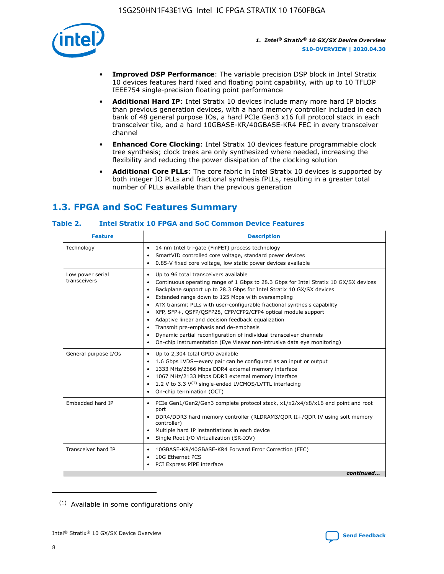

- **Improved DSP Performance**: The variable precision DSP block in Intel Stratix 10 devices features hard fixed and floating point capability, with up to 10 TFLOP IEEE754 single-precision floating point performance
- **Additional Hard IP**: Intel Stratix 10 devices include many more hard IP blocks than previous generation devices, with a hard memory controller included in each bank of 48 general purpose IOs, a hard PCIe Gen3 x16 full protocol stack in each transceiver tile, and a hard 10GBASE-KR/40GBASE-KR4 FEC in every transceiver channel
- **Enhanced Core Clocking**: Intel Stratix 10 devices feature programmable clock tree synthesis; clock trees are only synthesized where needed, increasing the flexibility and reducing the power dissipation of the clocking solution
- **Additional Core PLLs**: The core fabric in Intel Stratix 10 devices is supported by both integer IO PLLs and fractional synthesis fPLLs, resulting in a greater total number of PLLs available than the previous generation

### **1.3. FPGA and SoC Features Summary**

### **Table 2. Intel Stratix 10 FPGA and SoC Common Device Features**

| <b>Feature</b>                   | <b>Description</b>                                                                                                                                                                                                                                                                                                                                                                                                                                                                                                                                                                                                                                                                                                                                   |
|----------------------------------|------------------------------------------------------------------------------------------------------------------------------------------------------------------------------------------------------------------------------------------------------------------------------------------------------------------------------------------------------------------------------------------------------------------------------------------------------------------------------------------------------------------------------------------------------------------------------------------------------------------------------------------------------------------------------------------------------------------------------------------------------|
| Technology                       | 14 nm Intel tri-gate (FinFET) process technology<br>٠<br>SmartVID controlled core voltage, standard power devices<br>0.85-V fixed core voltage, low static power devices available                                                                                                                                                                                                                                                                                                                                                                                                                                                                                                                                                                   |
| Low power serial<br>transceivers | Up to 96 total transceivers available<br>$\bullet$<br>Continuous operating range of 1 Gbps to 28.3 Gbps for Intel Stratix 10 GX/SX devices<br>$\bullet$<br>Backplane support up to 28.3 Gbps for Intel Stratix 10 GX/SX devices<br>$\bullet$<br>Extended range down to 125 Mbps with oversampling<br>$\bullet$<br>ATX transmit PLLs with user-configurable fractional synthesis capability<br>$\bullet$<br>• XFP, SFP+, OSFP/OSFP28, CFP/CFP2/CFP4 optical module support<br>• Adaptive linear and decision feedback equalization<br>Transmit pre-emphasis and de-emphasis<br>Dynamic partial reconfiguration of individual transceiver channels<br>$\bullet$<br>On-chip instrumentation (Eye Viewer non-intrusive data eye monitoring)<br>$\bullet$ |
| General purpose I/Os             | Up to 2,304 total GPIO available<br>$\bullet$<br>1.6 Gbps LVDS-every pair can be configured as an input or output<br>$\bullet$<br>1333 MHz/2666 Mbps DDR4 external memory interface<br>1067 MHz/2133 Mbps DDR3 external memory interface<br>1.2 V to 3.3 $V^{(1)}$ single-ended LVCMOS/LVTTL interfacing<br>$\bullet$<br>On-chip termination (OCT)<br>$\bullet$                                                                                                                                                                                                                                                                                                                                                                                      |
| Embedded hard IP                 | • PCIe Gen1/Gen2/Gen3 complete protocol stack, $x1/x2/x4/x8/x16$ end point and root<br>port<br>DDR4/DDR3 hard memory controller (RLDRAM3/QDR II+/QDR IV using soft memory<br>controller)<br>Multiple hard IP instantiations in each device<br>$\bullet$<br>• Single Root I/O Virtualization (SR-IOV)                                                                                                                                                                                                                                                                                                                                                                                                                                                 |
| Transceiver hard IP              | 10GBASE-KR/40GBASE-KR4 Forward Error Correction (FEC)<br>$\bullet$<br>10G Ethernet PCS<br>$\bullet$<br>• PCI Express PIPE interface<br>continued                                                                                                                                                                                                                                                                                                                                                                                                                                                                                                                                                                                                     |

<sup>(1)</sup> Available in some configurations only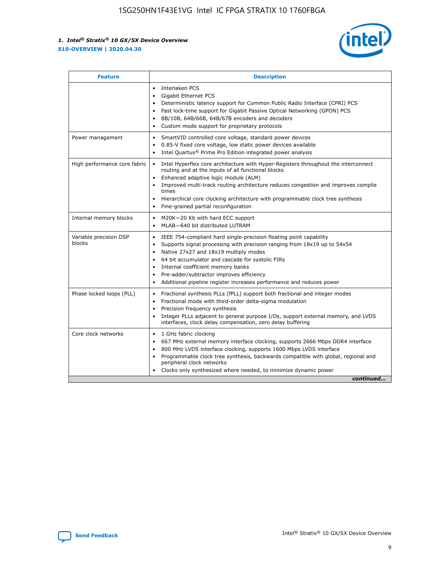

| <b>Feature</b>                   | <b>Description</b>                                                                                                                                                                                                                                                                                                                                                                                                                                                    |  |  |  |
|----------------------------------|-----------------------------------------------------------------------------------------------------------------------------------------------------------------------------------------------------------------------------------------------------------------------------------------------------------------------------------------------------------------------------------------------------------------------------------------------------------------------|--|--|--|
|                                  | Interlaken PCS<br>$\bullet$<br>Gigabit Ethernet PCS<br>$\bullet$<br>Deterministic latency support for Common Public Radio Interface (CPRI) PCS<br>$\bullet$<br>Fast lock-time support for Gigabit Passive Optical Networking (GPON) PCS<br>$\bullet$<br>8B/10B, 64B/66B, 64B/67B encoders and decoders<br>$\bullet$<br>Custom mode support for proprietary protocols<br>$\bullet$                                                                                     |  |  |  |
| Power management                 | SmartVID controlled core voltage, standard power devices<br>$\bullet$<br>0.85-V fixed core voltage, low static power devices available<br>$\bullet$<br>Intel Quartus <sup>®</sup> Prime Pro Edition integrated power analysis<br>٠                                                                                                                                                                                                                                    |  |  |  |
| High performance core fabric     | Intel Hyperflex core architecture with Hyper-Registers throughout the interconnect<br>$\bullet$<br>routing and at the inputs of all functional blocks<br>Enhanced adaptive logic module (ALM)<br>$\bullet$<br>Improved multi-track routing architecture reduces congestion and improves compile<br>times<br>Hierarchical core clocking architecture with programmable clock tree synthesis<br>Fine-grained partial reconfiguration                                    |  |  |  |
| Internal memory blocks           | M20K-20 Kb with hard ECC support<br>٠<br>MLAB-640 bit distributed LUTRAM<br>$\bullet$                                                                                                                                                                                                                                                                                                                                                                                 |  |  |  |
| Variable precision DSP<br>blocks | IEEE 754-compliant hard single-precision floating point capability<br>$\bullet$<br>Supports signal processing with precision ranging from 18x19 up to 54x54<br>$\bullet$<br>Native 27x27 and 18x19 multiply modes<br>$\bullet$<br>64 bit accumulator and cascade for systolic FIRs<br>Internal coefficient memory banks<br>Pre-adder/subtractor improves efficiency<br>$\bullet$<br>Additional pipeline register increases performance and reduces power<br>$\bullet$ |  |  |  |
| Phase locked loops (PLL)         | Fractional synthesis PLLs (fPLL) support both fractional and integer modes<br>$\bullet$<br>Fractional mode with third-order delta-sigma modulation<br>Precision frequency synthesis<br>$\bullet$<br>Integer PLLs adjacent to general purpose I/Os, support external memory, and LVDS<br>$\bullet$<br>interfaces, clock delay compensation, zero delay buffering                                                                                                       |  |  |  |
| Core clock networks              | 1 GHz fabric clocking<br>$\bullet$<br>667 MHz external memory interface clocking, supports 2666 Mbps DDR4 interface<br>$\bullet$<br>800 MHz LVDS interface clocking, supports 1600 Mbps LVDS interface<br>$\bullet$<br>Programmable clock tree synthesis, backwards compatible with global, regional and<br>$\bullet$<br>peripheral clock networks<br>Clocks only synthesized where needed, to minimize dynamic power<br>continued                                    |  |  |  |

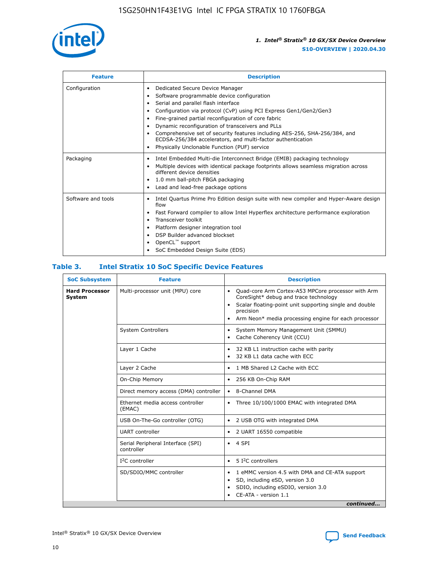

| <b>Feature</b>     | <b>Description</b>                                                                                                                                                                                                                                                                                                                                                                                                                                                                                                                                      |  |  |  |
|--------------------|---------------------------------------------------------------------------------------------------------------------------------------------------------------------------------------------------------------------------------------------------------------------------------------------------------------------------------------------------------------------------------------------------------------------------------------------------------------------------------------------------------------------------------------------------------|--|--|--|
| Configuration      | Dedicated Secure Device Manager<br>٠<br>Software programmable device configuration<br>٠<br>Serial and parallel flash interface<br>$\bullet$<br>Configuration via protocol (CvP) using PCI Express Gen1/Gen2/Gen3<br>٠<br>Fine-grained partial reconfiguration of core fabric<br>$\bullet$<br>Dynamic reconfiguration of transceivers and PLLs<br>$\bullet$<br>Comprehensive set of security features including AES-256, SHA-256/384, and<br>ECDSA-256/384 accelerators, and multi-factor authentication<br>Physically Unclonable Function (PUF) service |  |  |  |
| Packaging          | Intel Embedded Multi-die Interconnect Bridge (EMIB) packaging technology<br>$\bullet$<br>Multiple devices with identical package footprints allows seamless migration across<br>$\bullet$<br>different device densities<br>1.0 mm ball-pitch FBGA packaging<br>$\bullet$<br>Lead and lead-free package options                                                                                                                                                                                                                                          |  |  |  |
| Software and tools | Intel Quartus Prime Pro Edition design suite with new compiler and Hyper-Aware design<br>flow<br>Fast Forward compiler to allow Intel Hyperflex architecture performance exploration<br>$\bullet$<br>Transceiver toolkit<br>$\bullet$<br>Platform designer integration tool<br>$\bullet$<br>DSP Builder advanced blockset<br>OpenCL™ support<br>SoC Embedded Design Suite (EDS)                                                                                                                                                                         |  |  |  |

### **Table 3. Intel Stratix 10 SoC Specific Device Features**

| <b>Hard Processor</b><br>System | Multi-processor unit (MPU) core<br><b>System Controllers</b> | Quad-core Arm Cortex-A53 MPCore processor with Arm<br>$\bullet$<br>CoreSight* debug and trace technology<br>Scalar floating-point unit supporting single and double<br>$\bullet$<br>precision<br>Arm Neon* media processing engine for each processor<br>$\bullet$<br>System Memory Management Unit (SMMU)<br>٠<br>Cache Coherency Unit (CCU)<br>$\bullet$ |
|---------------------------------|--------------------------------------------------------------|------------------------------------------------------------------------------------------------------------------------------------------------------------------------------------------------------------------------------------------------------------------------------------------------------------------------------------------------------------|
|                                 |                                                              |                                                                                                                                                                                                                                                                                                                                                            |
|                                 |                                                              |                                                                                                                                                                                                                                                                                                                                                            |
|                                 | Layer 1 Cache                                                | 32 KB L1 instruction cache with parity<br>$\bullet$<br>32 KB L1 data cache with ECC<br>$\bullet$                                                                                                                                                                                                                                                           |
|                                 | Layer 2 Cache                                                | 1 MB Shared L2 Cache with ECC<br>$\bullet$                                                                                                                                                                                                                                                                                                                 |
|                                 | On-Chip Memory                                               | 256 KB On-Chip RAM<br>٠                                                                                                                                                                                                                                                                                                                                    |
|                                 | Direct memory access (DMA) controller                        | 8-Channel DMA<br>$\bullet$                                                                                                                                                                                                                                                                                                                                 |
| (EMAC)                          | Ethernet media access controller                             | Three 10/100/1000 EMAC with integrated DMA<br>$\bullet$                                                                                                                                                                                                                                                                                                    |
|                                 | USB On-The-Go controller (OTG)                               | 2 USB OTG with integrated DMA<br>$\bullet$                                                                                                                                                                                                                                                                                                                 |
|                                 | <b>UART</b> controller                                       | 2 UART 16550 compatible<br>$\bullet$                                                                                                                                                                                                                                                                                                                       |
|                                 | Serial Peripheral Interface (SPI)<br>controller              | $\bullet$ 4 SPI                                                                                                                                                                                                                                                                                                                                            |
|                                 | $I2C$ controller                                             | 5 I <sup>2</sup> C controllers<br>$\bullet$                                                                                                                                                                                                                                                                                                                |
|                                 | SD/SDIO/MMC controller                                       | 1 eMMC version 4.5 with DMA and CE-ATA support<br>$\bullet$<br>SD, including eSD, version 3.0<br>$\bullet$<br>SDIO, including eSDIO, version 3.0<br>$\bullet$<br>CE-ATA - version 1.1<br>continued                                                                                                                                                         |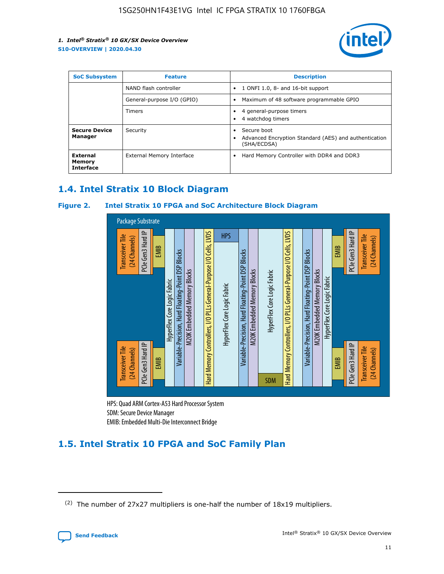

| <b>SoC Subsystem</b>                   | <b>Feature</b>             | <b>Description</b>                                                                                    |  |  |
|----------------------------------------|----------------------------|-------------------------------------------------------------------------------------------------------|--|--|
|                                        | NAND flash controller      | 1 ONFI 1.0, 8- and 16-bit support<br>$\bullet$                                                        |  |  |
|                                        | General-purpose I/O (GPIO) | Maximum of 48 software programmable GPIO<br>$\bullet$                                                 |  |  |
|                                        | Timers                     | 4 general-purpose timers<br>4 watchdog timers<br>٠                                                    |  |  |
| <b>Secure Device</b><br>Manager        | Security                   | Secure boot<br>$\bullet$<br>Advanced Encryption Standard (AES) and authentication<br>٠<br>(SHA/ECDSA) |  |  |
| External<br>Memory<br><b>Interface</b> | External Memory Interface  | Hard Memory Controller with DDR4 and DDR3<br>$\bullet$                                                |  |  |

### **1.4. Intel Stratix 10 Block Diagram**

### **Figure 2. Intel Stratix 10 FPGA and SoC Architecture Block Diagram**



HPS: Quad ARM Cortex-A53 Hard Processor System SDM: Secure Device Manager

## **1.5. Intel Stratix 10 FPGA and SoC Family Plan**

<sup>(2)</sup> The number of 27x27 multipliers is one-half the number of 18x19 multipliers.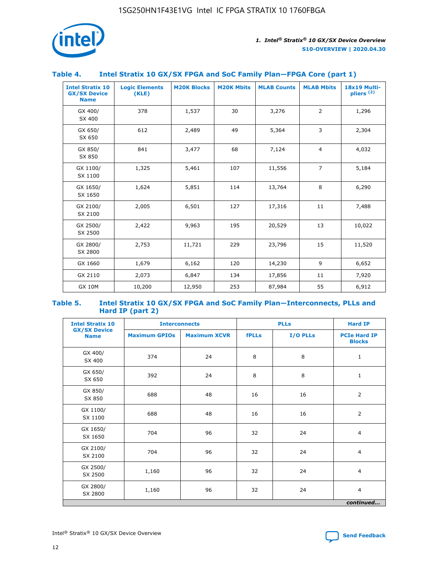

### **Table 4. Intel Stratix 10 GX/SX FPGA and SoC Family Plan—FPGA Core (part 1)**

| <b>Intel Stratix 10</b><br><b>GX/SX Device</b><br><b>Name</b> | <b>Logic Elements</b><br>(KLE) | <b>M20K Blocks</b> | <b>M20K Mbits</b> | <b>MLAB Counts</b> | <b>MLAB Mbits</b> | 18x19 Multi-<br>$p$ liers $(2)$ |
|---------------------------------------------------------------|--------------------------------|--------------------|-------------------|--------------------|-------------------|---------------------------------|
| GX 400/<br>SX 400                                             | 378                            | 1,537              | 30                | 3,276              | 2                 | 1,296                           |
| GX 650/<br>SX 650                                             | 612                            | 2,489              | 49                | 5,364              | 3                 | 2,304                           |
| GX 850/<br>SX 850                                             | 841                            | 3,477              | 68                | 7,124              | $\overline{4}$    | 4,032                           |
| GX 1100/<br>SX 1100                                           | 1,325                          | 5,461              | 107               | 11,556             | $\overline{7}$    | 5,184                           |
| GX 1650/<br>SX 1650                                           | 1,624                          | 5,851              | 114               | 13,764             | 8                 | 6,290                           |
| GX 2100/<br>SX 2100                                           | 2,005                          | 6,501              | 127               | 17,316             | 11                | 7,488                           |
| GX 2500/<br>SX 2500                                           | 2,422                          | 9,963              | 195               | 20,529             | 13                | 10,022                          |
| GX 2800/<br>SX 2800                                           | 2,753                          | 11,721             | 229               | 23,796             | 15                | 11,520                          |
| GX 1660                                                       | 1,679                          | 6,162              | 120               | 14,230             | 9                 | 6,652                           |
| GX 2110                                                       | 2,073                          | 6,847              | 134               | 17,856             | 11                | 7,920                           |
| <b>GX 10M</b>                                                 | 10,200                         | 12,950             | 253               | 87,984             | 55                | 6,912                           |

#### **Table 5. Intel Stratix 10 GX/SX FPGA and SoC Family Plan—Interconnects, PLLs and Hard IP (part 2)**

| <b>Intel Stratix 10</b>            |                      | <b>PLLs</b><br><b>Interconnects</b> |              |          | <b>Hard IP</b>                       |  |
|------------------------------------|----------------------|-------------------------------------|--------------|----------|--------------------------------------|--|
| <b>GX/SX Device</b><br><b>Name</b> | <b>Maximum GPIOs</b> | <b>Maximum XCVR</b>                 | <b>fPLLs</b> | I/O PLLs | <b>PCIe Hard IP</b><br><b>Blocks</b> |  |
| GX 400/<br>SX 400                  | 374                  | 24                                  | 8            | 8        | $\mathbf{1}$                         |  |
| GX 650/<br>SX 650                  | 392                  | 24                                  | 8            | 8        | $\mathbf{1}$                         |  |
| GX 850/<br>SX 850                  | 688                  | 48                                  | 16           | 16       | 2                                    |  |
| GX 1100/<br>SX 1100                | 688                  | 48                                  | 16           | 16       | 2                                    |  |
| GX 1650/<br>SX 1650                | 704                  | 96                                  | 32           | 24       | $\overline{4}$                       |  |
| GX 2100/<br>SX 2100                | 704                  | 96                                  | 32           | 24       | $\overline{4}$                       |  |
| GX 2500/<br>SX 2500                | 1,160                | 96                                  | 32           | 24       | $\overline{4}$                       |  |
| GX 2800/<br>SX 2800                | 1,160                | 96                                  | 32           | 24       | $\overline{4}$                       |  |
| continued                          |                      |                                     |              |          |                                      |  |

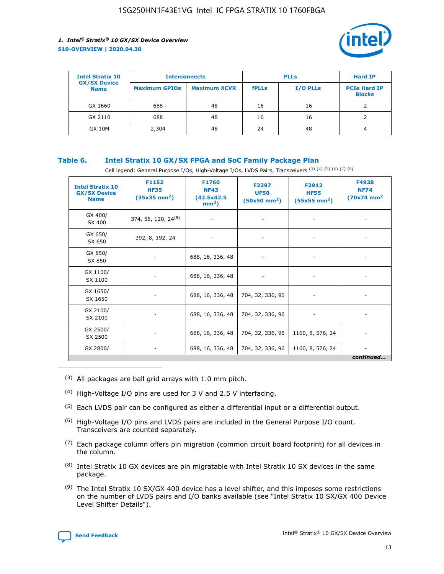

| <b>Intel Stratix 10</b>            | <b>Interconnects</b> |                     | <b>PLLs</b>  |                 | <b>Hard IP</b>                       |
|------------------------------------|----------------------|---------------------|--------------|-----------------|--------------------------------------|
| <b>GX/SX Device</b><br><b>Name</b> | <b>Maximum GPIOs</b> | <b>Maximum XCVR</b> | <b>fPLLs</b> | <b>I/O PLLs</b> | <b>PCIe Hard IP</b><br><b>Blocks</b> |
| GX 1660                            | 688                  | 48                  | 16           | 16              |                                      |
| GX 2110                            | 688                  | 48                  | 16           | 16              |                                      |
| <b>GX 10M</b>                      | 2,304                | 48                  | 24           | 48              | 4                                    |

### **Table 6. Intel Stratix 10 GX/SX FPGA and SoC Family Package Plan**

Cell legend: General Purpose I/Os, High-Voltage I/Os, LVDS Pairs, Transceivers (3) (4) (5) (6) (7) (8)

| <b>Intel Stratix 10</b><br><b>GX/SX Device</b><br><b>Name</b> | F1152<br><b>HF35</b><br>$(35x35 \text{ mm}^2)$ | <b>F1760</b><br><b>NF43</b><br>(42.5x42.5<br>$mm2$ ) | F2397<br><b>UF50</b><br>$(50x50 \text{ mm}^2)$ | F2912<br><b>HF55</b><br>$(55x55 \text{ mm}^2)$ | F4938<br><b>NF74</b><br>$(70x74)$ mm <sup>2</sup> |
|---------------------------------------------------------------|------------------------------------------------|------------------------------------------------------|------------------------------------------------|------------------------------------------------|---------------------------------------------------|
| GX 400/<br>SX 400                                             | 374, 56, 120, 24 <sup>(9)</sup>                | $\overline{\phantom{a}}$                             | $\overline{\phantom{a}}$                       |                                                |                                                   |
| GX 650/<br>SX 650                                             | 392, 8, 192, 24                                | ٠                                                    | $\qquad \qquad \blacksquare$                   |                                                |                                                   |
| GX 850/<br>SX 850                                             | $\overline{\phantom{a}}$                       | 688, 16, 336, 48                                     | $\overline{\phantom{a}}$                       |                                                |                                                   |
| GX 1100/<br>SX 1100                                           | -                                              | 688, 16, 336, 48                                     |                                                |                                                |                                                   |
| GX 1650/<br>SX 1650                                           |                                                | 688, 16, 336, 48                                     | 704, 32, 336, 96                               | $\overline{\phantom{0}}$                       | $\overline{\phantom{0}}$                          |
| GX 2100/<br>SX 2100                                           |                                                | 688, 16, 336, 48                                     | 704, 32, 336, 96                               | $\overline{\phantom{a}}$                       | ٠                                                 |
| GX 2500/<br>SX 2500                                           |                                                | 688, 16, 336, 48                                     | 704, 32, 336, 96                               | 1160, 8, 576, 24                               |                                                   |
| GX 2800/                                                      | -                                              | 688, 16, 336, 48                                     | 704, 32, 336, 96                               | 1160, 8, 576, 24                               | continued                                         |

- (3) All packages are ball grid arrays with 1.0 mm pitch.
- (4) High-Voltage I/O pins are used for 3 V and 2.5 V interfacing.
- $(5)$  Each LVDS pair can be configured as either a differential input or a differential output.
- (6) High-Voltage I/O pins and LVDS pairs are included in the General Purpose I/O count. Transceivers are counted separately.
- $(7)$  Each package column offers pin migration (common circuit board footprint) for all devices in the column.
- $(8)$  Intel Stratix 10 GX devices are pin migratable with Intel Stratix 10 SX devices in the same package.
- $(9)$  The Intel Stratix 10 SX/GX 400 device has a level shifter, and this imposes some restrictions on the number of LVDS pairs and I/O banks available (see "Intel Stratix 10 SX/GX 400 Device Level Shifter Details").

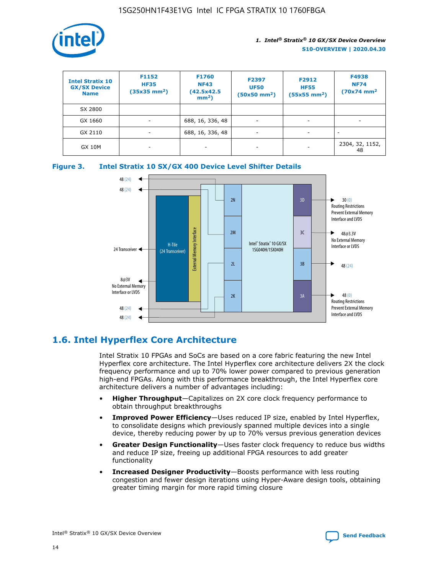

| <b>Intel Stratix 10</b><br><b>GX/SX Device</b><br><b>Name</b> | F1152<br><b>HF35</b><br>$(35x35 \text{ mm}^2)$ | <b>F1760</b><br><b>NF43</b><br>(42.5x42.5<br>$mm2$ ) | F2397<br><b>UF50</b><br>$(50x50 \text{ mm}^2)$ | F2912<br><b>HF55</b><br>$(55x55$ mm <sup>2</sup> ) | F4938<br><b>NF74</b><br>$(70x74)$ mm <sup>2</sup> |
|---------------------------------------------------------------|------------------------------------------------|------------------------------------------------------|------------------------------------------------|----------------------------------------------------|---------------------------------------------------|
| SX 2800                                                       |                                                |                                                      |                                                |                                                    |                                                   |
| GX 1660                                                       | ٠                                              | 688, 16, 336, 48                                     | ۰                                              |                                                    |                                                   |
| GX 2110                                                       |                                                | 688, 16, 336, 48                                     | $\overline{\phantom{a}}$                       |                                                    |                                                   |
| <b>GX 10M</b>                                                 | ۰                                              | -                                                    | -                                              |                                                    | 2304, 32, 1152,<br>48                             |





### **1.6. Intel Hyperflex Core Architecture**

Intel Stratix 10 FPGAs and SoCs are based on a core fabric featuring the new Intel Hyperflex core architecture. The Intel Hyperflex core architecture delivers 2X the clock frequency performance and up to 70% lower power compared to previous generation high-end FPGAs. Along with this performance breakthrough, the Intel Hyperflex core architecture delivers a number of advantages including:

- **Higher Throughput**—Capitalizes on 2X core clock frequency performance to obtain throughput breakthroughs
- **Improved Power Efficiency**—Uses reduced IP size, enabled by Intel Hyperflex, to consolidate designs which previously spanned multiple devices into a single device, thereby reducing power by up to 70% versus previous generation devices
- **Greater Design Functionality**—Uses faster clock frequency to reduce bus widths and reduce IP size, freeing up additional FPGA resources to add greater functionality
- **Increased Designer Productivity**—Boosts performance with less routing congestion and fewer design iterations using Hyper-Aware design tools, obtaining greater timing margin for more rapid timing closure

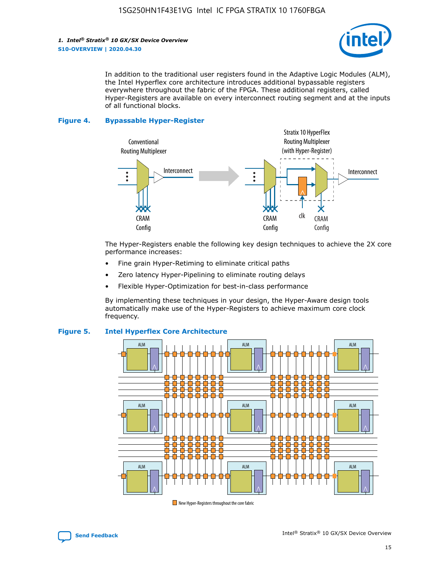

In addition to the traditional user registers found in the Adaptive Logic Modules (ALM), the Intel Hyperflex core architecture introduces additional bypassable registers everywhere throughout the fabric of the FPGA. These additional registers, called Hyper-Registers are available on every interconnect routing segment and at the inputs of all functional blocks.

#### **Figure 4. Bypassable Hyper-Register**



The Hyper-Registers enable the following key design techniques to achieve the 2X core performance increases:

- Fine grain Hyper-Retiming to eliminate critical paths
- Zero latency Hyper-Pipelining to eliminate routing delays
- Flexible Hyper-Optimization for best-in-class performance

By implementing these techniques in your design, the Hyper-Aware design tools automatically make use of the Hyper-Registers to achieve maximum core clock frequency.



### **Figure 5. Intel Hyperflex Core Architecture**

New Hyper-Registers throughout the core fabric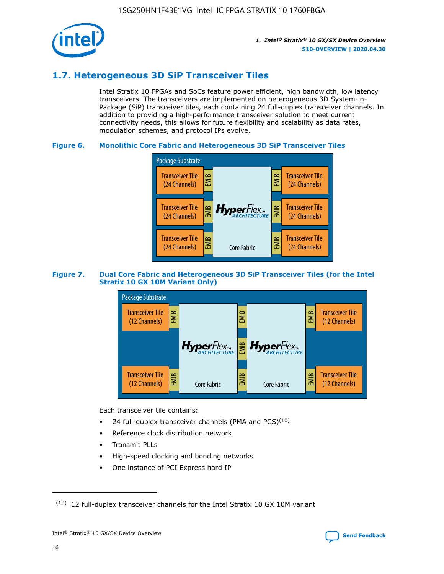

### **1.7. Heterogeneous 3D SiP Transceiver Tiles**

Intel Stratix 10 FPGAs and SoCs feature power efficient, high bandwidth, low latency transceivers. The transceivers are implemented on heterogeneous 3D System-in-Package (SiP) transceiver tiles, each containing 24 full-duplex transceiver channels. In addition to providing a high-performance transceiver solution to meet current connectivity needs, this allows for future flexibility and scalability as data rates, modulation schemes, and protocol IPs evolve.

### **Figure 6. Monolithic Core Fabric and Heterogeneous 3D SiP Transceiver Tiles**



### **Figure 7. Dual Core Fabric and Heterogeneous 3D SiP Transceiver Tiles (for the Intel Stratix 10 GX 10M Variant Only)**



Each transceiver tile contains:

- 24 full-duplex transceiver channels (PMA and PCS) $(10)$
- Reference clock distribution network
- Transmit PLLs
- High-speed clocking and bonding networks
- One instance of PCI Express hard IP

 $(10)$  12 full-duplex transceiver channels for the Intel Stratix 10 GX 10M variant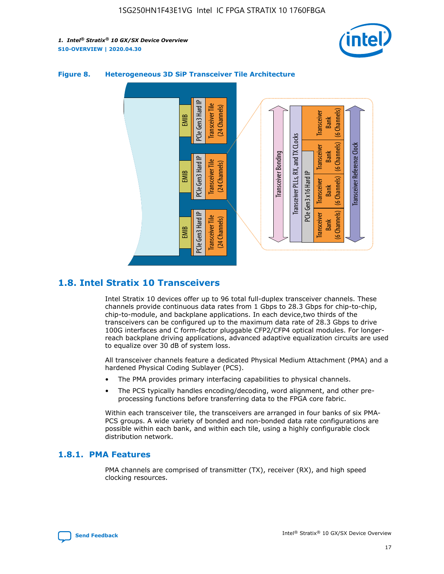



### **Figure 8. Heterogeneous 3D SiP Transceiver Tile Architecture**

### **1.8. Intel Stratix 10 Transceivers**

Intel Stratix 10 devices offer up to 96 total full-duplex transceiver channels. These channels provide continuous data rates from 1 Gbps to 28.3 Gbps for chip-to-chip, chip-to-module, and backplane applications. In each device,two thirds of the transceivers can be configured up to the maximum data rate of 28.3 Gbps to drive 100G interfaces and C form-factor pluggable CFP2/CFP4 optical modules. For longerreach backplane driving applications, advanced adaptive equalization circuits are used to equalize over 30 dB of system loss.

All transceiver channels feature a dedicated Physical Medium Attachment (PMA) and a hardened Physical Coding Sublayer (PCS).

- The PMA provides primary interfacing capabilities to physical channels.
- The PCS typically handles encoding/decoding, word alignment, and other preprocessing functions before transferring data to the FPGA core fabric.

Within each transceiver tile, the transceivers are arranged in four banks of six PMA-PCS groups. A wide variety of bonded and non-bonded data rate configurations are possible within each bank, and within each tile, using a highly configurable clock distribution network.

### **1.8.1. PMA Features**

PMA channels are comprised of transmitter (TX), receiver (RX), and high speed clocking resources.

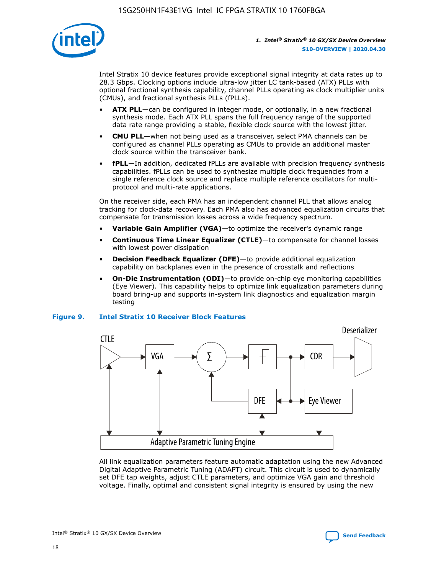

Intel Stratix 10 device features provide exceptional signal integrity at data rates up to 28.3 Gbps. Clocking options include ultra-low jitter LC tank-based (ATX) PLLs with optional fractional synthesis capability, channel PLLs operating as clock multiplier units (CMUs), and fractional synthesis PLLs (fPLLs).

- **ATX PLL**—can be configured in integer mode, or optionally, in a new fractional synthesis mode. Each ATX PLL spans the full frequency range of the supported data rate range providing a stable, flexible clock source with the lowest jitter.
- **CMU PLL**—when not being used as a transceiver, select PMA channels can be configured as channel PLLs operating as CMUs to provide an additional master clock source within the transceiver bank.
- **fPLL**—In addition, dedicated fPLLs are available with precision frequency synthesis capabilities. fPLLs can be used to synthesize multiple clock frequencies from a single reference clock source and replace multiple reference oscillators for multiprotocol and multi-rate applications.

On the receiver side, each PMA has an independent channel PLL that allows analog tracking for clock-data recovery. Each PMA also has advanced equalization circuits that compensate for transmission losses across a wide frequency spectrum.

- **Variable Gain Amplifier (VGA)**—to optimize the receiver's dynamic range
- **Continuous Time Linear Equalizer (CTLE)**—to compensate for channel losses with lowest power dissipation
- **Decision Feedback Equalizer (DFE)**—to provide additional equalization capability on backplanes even in the presence of crosstalk and reflections
- **On-Die Instrumentation (ODI)**—to provide on-chip eye monitoring capabilities (Eye Viewer). This capability helps to optimize link equalization parameters during board bring-up and supports in-system link diagnostics and equalization margin testing

#### **Figure 9. Intel Stratix 10 Receiver Block Features**



All link equalization parameters feature automatic adaptation using the new Advanced Digital Adaptive Parametric Tuning (ADAPT) circuit. This circuit is used to dynamically set DFE tap weights, adjust CTLE parameters, and optimize VGA gain and threshold voltage. Finally, optimal and consistent signal integrity is ensured by using the new



Intel<sup>®</sup> Stratix<sup>®</sup> 10 GX/SX Device Overview **[Send Feedback](mailto:FPGAtechdocfeedback@intel.com?subject=Feedback%20on%20Intel%20Stratix%2010%20GX/SX%20Device%20Overview%20(S10-OVERVIEW%202020.04.30)&body=We%20appreciate%20your%20feedback.%20In%20your%20comments,%20also%20specify%20the%20page%20number%20or%20paragraph.%20Thank%20you.)** Send Feedback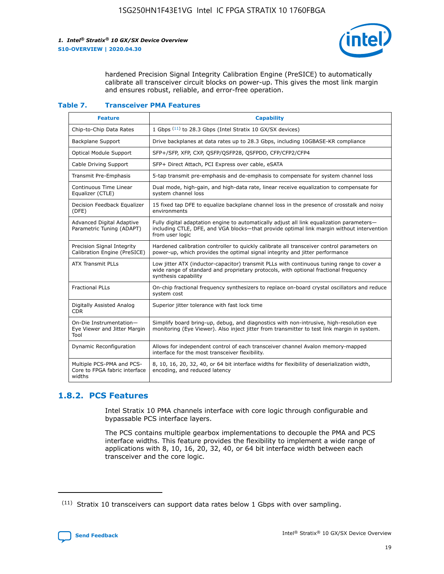

hardened Precision Signal Integrity Calibration Engine (PreSICE) to automatically calibrate all transceiver circuit blocks on power-up. This gives the most link margin and ensures robust, reliable, and error-free operation.

#### **Table 7. Transceiver PMA Features**

| <b>Feature</b>                                                       | <b>Capability</b>                                                                                                                                                                                         |
|----------------------------------------------------------------------|-----------------------------------------------------------------------------------------------------------------------------------------------------------------------------------------------------------|
| Chip-to-Chip Data Rates                                              | 1 Gbps (11) to 28.3 Gbps (Intel Stratix 10 GX/SX devices)                                                                                                                                                 |
| <b>Backplane Support</b>                                             | Drive backplanes at data rates up to 28.3 Gbps, including 10GBASE-KR compliance                                                                                                                           |
| Optical Module Support                                               | SFP+/SFP, XFP, CXP, QSFP/QSFP28, QSFPDD, CFP/CFP2/CFP4                                                                                                                                                    |
| Cable Driving Support                                                | SFP+ Direct Attach, PCI Express over cable, eSATA                                                                                                                                                         |
| <b>Transmit Pre-Emphasis</b>                                         | 5-tap transmit pre-emphasis and de-emphasis to compensate for system channel loss                                                                                                                         |
| Continuous Time Linear<br>Equalizer (CTLE)                           | Dual mode, high-gain, and high-data rate, linear receive equalization to compensate for<br>system channel loss                                                                                            |
| Decision Feedback Equalizer<br>(DFE)                                 | 15 fixed tap DFE to equalize backplane channel loss in the presence of crosstalk and noisy<br>environments                                                                                                |
| Advanced Digital Adaptive<br>Parametric Tuning (ADAPT)               | Fully digital adaptation engine to automatically adjust all link equalization parameters-<br>including CTLE, DFE, and VGA blocks-that provide optimal link margin without intervention<br>from user logic |
| Precision Signal Integrity<br>Calibration Engine (PreSICE)           | Hardened calibration controller to quickly calibrate all transceiver control parameters on<br>power-up, which provides the optimal signal integrity and jitter performance                                |
| <b>ATX Transmit PLLs</b>                                             | Low jitter ATX (inductor-capacitor) transmit PLLs with continuous tuning range to cover a<br>wide range of standard and proprietary protocols, with optional fractional frequency<br>synthesis capability |
| <b>Fractional PLLs</b>                                               | On-chip fractional frequency synthesizers to replace on-board crystal oscillators and reduce<br>system cost                                                                                               |
| Digitally Assisted Analog<br>CDR.                                    | Superior jitter tolerance with fast lock time                                                                                                                                                             |
| On-Die Instrumentation-<br>Eye Viewer and Jitter Margin<br>Tool      | Simplify board bring-up, debug, and diagnostics with non-intrusive, high-resolution eye<br>monitoring (Eye Viewer). Also inject jitter from transmitter to test link margin in system.                    |
| Dynamic Reconfiguration                                              | Allows for independent control of each transceiver channel Avalon memory-mapped<br>interface for the most transceiver flexibility.                                                                        |
| Multiple PCS-PMA and PCS-<br>Core to FPGA fabric interface<br>widths | 8, 10, 16, 20, 32, 40, or 64 bit interface widths for flexibility of deserialization width,<br>encoding, and reduced latency                                                                              |

### **1.8.2. PCS Features**

Intel Stratix 10 PMA channels interface with core logic through configurable and bypassable PCS interface layers.

The PCS contains multiple gearbox implementations to decouple the PMA and PCS interface widths. This feature provides the flexibility to implement a wide range of applications with 8, 10, 16, 20, 32, 40, or 64 bit interface width between each transceiver and the core logic.

 $(11)$  Stratix 10 transceivers can support data rates below 1 Gbps with over sampling.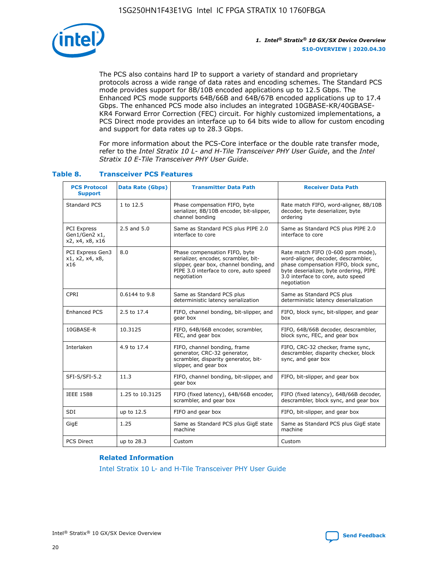

The PCS also contains hard IP to support a variety of standard and proprietary protocols across a wide range of data rates and encoding schemes. The Standard PCS mode provides support for 8B/10B encoded applications up to 12.5 Gbps. The Enhanced PCS mode supports 64B/66B and 64B/67B encoded applications up to 17.4 Gbps. The enhanced PCS mode also includes an integrated 10GBASE-KR/40GBASE-KR4 Forward Error Correction (FEC) circuit. For highly customized implementations, a PCS Direct mode provides an interface up to 64 bits wide to allow for custom encoding and support for data rates up to 28.3 Gbps.

For more information about the PCS-Core interface or the double rate transfer mode, refer to the *Intel Stratix 10 L- and H-Tile Transceiver PHY User Guide*, and the *Intel Stratix 10 E-Tile Transceiver PHY User Guide*.

| <b>PCS Protocol</b><br><b>Support</b>           | <b>Data Rate (Gbps)</b> | <b>Transmitter Data Path</b>                                                                                                                                              | <b>Receiver Data Path</b>                                                                                                                                                                                      |
|-------------------------------------------------|-------------------------|---------------------------------------------------------------------------------------------------------------------------------------------------------------------------|----------------------------------------------------------------------------------------------------------------------------------------------------------------------------------------------------------------|
| Standard PCS                                    | 1 to 12.5               | Phase compensation FIFO, byte<br>serializer, 8B/10B encoder, bit-slipper,<br>channel bonding                                                                              | Rate match FIFO, word-aligner, 8B/10B<br>decoder, byte deserializer, byte<br>ordering                                                                                                                          |
| PCI Express<br>Gen1/Gen2 x1,<br>x2, x4, x8, x16 | $2.5$ and $5.0$         | Same as Standard PCS plus PIPE 2.0<br>interface to core                                                                                                                   | Same as Standard PCS plus PIPE 2.0<br>interface to core                                                                                                                                                        |
| PCI Express Gen3<br>x1, x2, x4, x8,<br>x16      | 8.0                     | Phase compensation FIFO, byte<br>serializer, encoder, scrambler, bit-<br>slipper, gear box, channel bonding, and<br>PIPE 3.0 interface to core, auto speed<br>negotiation | Rate match FIFO (0-600 ppm mode),<br>word-aligner, decoder, descrambler,<br>phase compensation FIFO, block sync,<br>byte deserializer, byte ordering, PIPE<br>3.0 interface to core, auto speed<br>negotiation |
| CPRI                                            | 0.6144 to 9.8           | Same as Standard PCS plus<br>deterministic latency serialization                                                                                                          | Same as Standard PCS plus<br>deterministic latency deserialization                                                                                                                                             |
| <b>Enhanced PCS</b>                             | 2.5 to 17.4             | FIFO, channel bonding, bit-slipper, and<br>gear box                                                                                                                       | FIFO, block sync, bit-slipper, and gear<br>box                                                                                                                                                                 |
| 10GBASE-R                                       | 10.3125                 | FIFO, 64B/66B encoder, scrambler,<br>FEC, and gear box                                                                                                                    | FIFO, 64B/66B decoder, descrambler,<br>block sync, FEC, and gear box                                                                                                                                           |
| Interlaken                                      | 4.9 to 17.4             | FIFO, channel bonding, frame<br>generator, CRC-32 generator,<br>scrambler, disparity generator, bit-<br>slipper, and gear box                                             | FIFO, CRC-32 checker, frame sync,<br>descrambler, disparity checker, block<br>sync, and gear box                                                                                                               |
| SFI-S/SFI-5.2                                   | 11.3                    | FIFO, channel bonding, bit-slipper, and<br>gear box                                                                                                                       | FIFO, bit-slipper, and gear box                                                                                                                                                                                |
| <b>IEEE 1588</b>                                | 1.25 to 10.3125         | FIFO (fixed latency), 64B/66B encoder,<br>scrambler, and gear box                                                                                                         | FIFO (fixed latency), 64B/66B decoder,<br>descrambler, block sync, and gear box                                                                                                                                |
| SDI                                             | up to 12.5              | FIFO and gear box                                                                                                                                                         | FIFO, bit-slipper, and gear box                                                                                                                                                                                |
| GigE                                            | 1.25                    | Same as Standard PCS plus GigE state<br>machine                                                                                                                           | Same as Standard PCS plus GigE state<br>machine                                                                                                                                                                |
| <b>PCS Direct</b>                               | up to 28.3              | Custom                                                                                                                                                                    | Custom                                                                                                                                                                                                         |

### **Table 8. Transceiver PCS Features**

#### **Related Information**

[Intel Stratix 10 L- and H-Tile Transceiver PHY User Guide](https://www.altera.com/documentation/wry1479165198810.html)

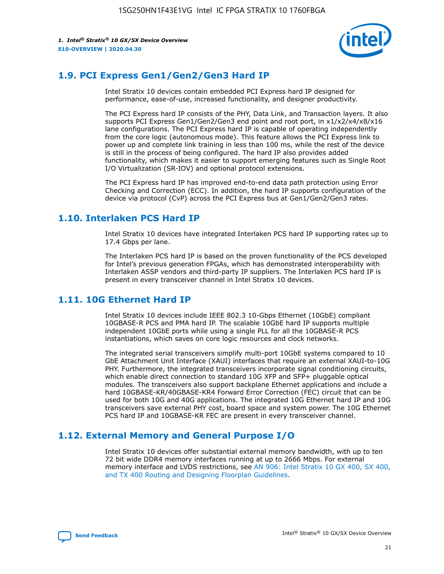

### **1.9. PCI Express Gen1/Gen2/Gen3 Hard IP**

Intel Stratix 10 devices contain embedded PCI Express hard IP designed for performance, ease-of-use, increased functionality, and designer productivity.

The PCI Express hard IP consists of the PHY, Data Link, and Transaction layers. It also supports PCI Express Gen1/Gen2/Gen3 end point and root port, in x1/x2/x4/x8/x16 lane configurations. The PCI Express hard IP is capable of operating independently from the core logic (autonomous mode). This feature allows the PCI Express link to power up and complete link training in less than 100 ms, while the rest of the device is still in the process of being configured. The hard IP also provides added functionality, which makes it easier to support emerging features such as Single Root I/O Virtualization (SR-IOV) and optional protocol extensions.

The PCI Express hard IP has improved end-to-end data path protection using Error Checking and Correction (ECC). In addition, the hard IP supports configuration of the device via protocol (CvP) across the PCI Express bus at Gen1/Gen2/Gen3 rates.

### **1.10. Interlaken PCS Hard IP**

Intel Stratix 10 devices have integrated Interlaken PCS hard IP supporting rates up to 17.4 Gbps per lane.

The Interlaken PCS hard IP is based on the proven functionality of the PCS developed for Intel's previous generation FPGAs, which has demonstrated interoperability with Interlaken ASSP vendors and third-party IP suppliers. The Interlaken PCS hard IP is present in every transceiver channel in Intel Stratix 10 devices.

### **1.11. 10G Ethernet Hard IP**

Intel Stratix 10 devices include IEEE 802.3 10-Gbps Ethernet (10GbE) compliant 10GBASE-R PCS and PMA hard IP. The scalable 10GbE hard IP supports multiple independent 10GbE ports while using a single PLL for all the 10GBASE-R PCS instantiations, which saves on core logic resources and clock networks.

The integrated serial transceivers simplify multi-port 10GbE systems compared to 10 GbE Attachment Unit Interface (XAUI) interfaces that require an external XAUI-to-10G PHY. Furthermore, the integrated transceivers incorporate signal conditioning circuits, which enable direct connection to standard 10G XFP and SFP+ pluggable optical modules. The transceivers also support backplane Ethernet applications and include a hard 10GBASE-KR/40GBASE-KR4 Forward Error Correction (FEC) circuit that can be used for both 10G and 40G applications. The integrated 10G Ethernet hard IP and 10G transceivers save external PHY cost, board space and system power. The 10G Ethernet PCS hard IP and 10GBASE-KR FEC are present in every transceiver channel.

### **1.12. External Memory and General Purpose I/O**

Intel Stratix 10 devices offer substantial external memory bandwidth, with up to ten 72 bit wide DDR4 memory interfaces running at up to 2666 Mbps. For external memory interface and LVDS restrictions, see [AN 906: Intel Stratix 10 GX 400, SX 400,](https://www.intel.com/content/www/us/en/programmable/documentation/sjf1574667190623.html#bft1574667627484) [and TX 400 Routing and Designing Floorplan Guidelines.](https://www.intel.com/content/www/us/en/programmable/documentation/sjf1574667190623.html#bft1574667627484)

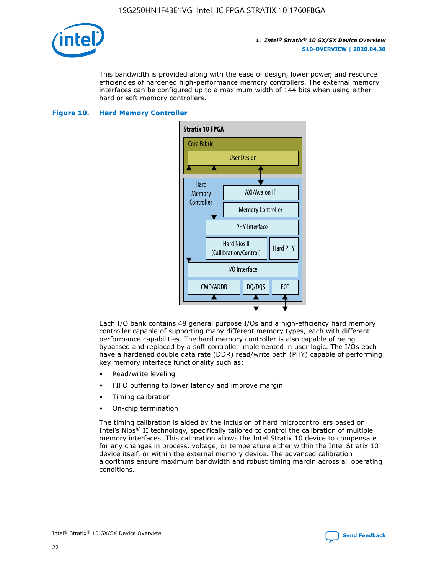

This bandwidth is provided along with the ease of design, lower power, and resource efficiencies of hardened high-performance memory controllers. The external memory interfaces can be configured up to a maximum width of 144 bits when using either hard or soft memory controllers.

#### **Figure 10. Hard Memory Controller**



Each I/O bank contains 48 general purpose I/Os and a high-efficiency hard memory controller capable of supporting many different memory types, each with different performance capabilities. The hard memory controller is also capable of being bypassed and replaced by a soft controller implemented in user logic. The I/Os each have a hardened double data rate (DDR) read/write path (PHY) capable of performing key memory interface functionality such as:

- Read/write leveling
- FIFO buffering to lower latency and improve margin
- Timing calibration
- On-chip termination

The timing calibration is aided by the inclusion of hard microcontrollers based on Intel's Nios® II technology, specifically tailored to control the calibration of multiple memory interfaces. This calibration allows the Intel Stratix 10 device to compensate for any changes in process, voltage, or temperature either within the Intel Stratix 10 device itself, or within the external memory device. The advanced calibration algorithms ensure maximum bandwidth and robust timing margin across all operating conditions.

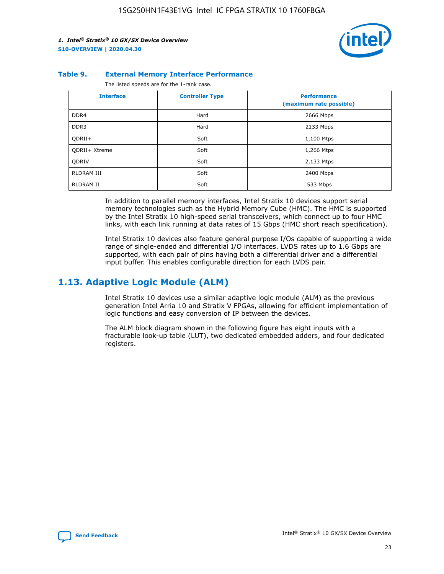

#### **Table 9. External Memory Interface Performance**

The listed speeds are for the 1-rank case.

| <b>Interface</b>     | <b>Controller Type</b> | <b>Performance</b><br>(maximum rate possible) |
|----------------------|------------------------|-----------------------------------------------|
| DDR4                 | Hard                   | 2666 Mbps                                     |
| DDR <sub>3</sub>     | Hard                   | 2133 Mbps                                     |
| QDRII+               | Soft                   | 1,100 Mtps                                    |
| <b>ODRII+ Xtreme</b> | Soft                   | 1,266 Mtps                                    |
| <b>ODRIV</b>         | Soft                   | 2,133 Mtps                                    |
| RLDRAM III           | Soft                   | 2400 Mbps                                     |
| <b>RLDRAM II</b>     | Soft                   | 533 Mbps                                      |

In addition to parallel memory interfaces, Intel Stratix 10 devices support serial memory technologies such as the Hybrid Memory Cube (HMC). The HMC is supported by the Intel Stratix 10 high-speed serial transceivers, which connect up to four HMC links, with each link running at data rates of 15 Gbps (HMC short reach specification).

Intel Stratix 10 devices also feature general purpose I/Os capable of supporting a wide range of single-ended and differential I/O interfaces. LVDS rates up to 1.6 Gbps are supported, with each pair of pins having both a differential driver and a differential input buffer. This enables configurable direction for each LVDS pair.

### **1.13. Adaptive Logic Module (ALM)**

Intel Stratix 10 devices use a similar adaptive logic module (ALM) as the previous generation Intel Arria 10 and Stratix V FPGAs, allowing for efficient implementation of logic functions and easy conversion of IP between the devices.

The ALM block diagram shown in the following figure has eight inputs with a fracturable look-up table (LUT), two dedicated embedded adders, and four dedicated registers.

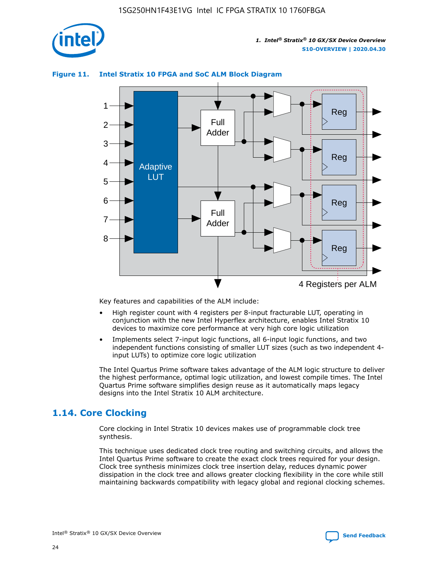

### **Figure 11. Intel Stratix 10 FPGA and SoC ALM Block Diagram**



Key features and capabilities of the ALM include:

- High register count with 4 registers per 8-input fracturable LUT, operating in conjunction with the new Intel Hyperflex architecture, enables Intel Stratix 10 devices to maximize core performance at very high core logic utilization
- Implements select 7-input logic functions, all 6-input logic functions, and two independent functions consisting of smaller LUT sizes (such as two independent 4 input LUTs) to optimize core logic utilization

The Intel Quartus Prime software takes advantage of the ALM logic structure to deliver the highest performance, optimal logic utilization, and lowest compile times. The Intel Quartus Prime software simplifies design reuse as it automatically maps legacy designs into the Intel Stratix 10 ALM architecture.

### **1.14. Core Clocking**

Core clocking in Intel Stratix 10 devices makes use of programmable clock tree synthesis.

This technique uses dedicated clock tree routing and switching circuits, and allows the Intel Quartus Prime software to create the exact clock trees required for your design. Clock tree synthesis minimizes clock tree insertion delay, reduces dynamic power dissipation in the clock tree and allows greater clocking flexibility in the core while still maintaining backwards compatibility with legacy global and regional clocking schemes.

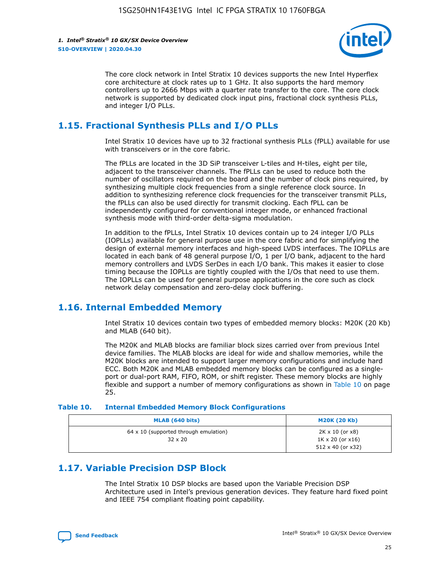

The core clock network in Intel Stratix 10 devices supports the new Intel Hyperflex core architecture at clock rates up to 1 GHz. It also supports the hard memory controllers up to 2666 Mbps with a quarter rate transfer to the core. The core clock network is supported by dedicated clock input pins, fractional clock synthesis PLLs, and integer I/O PLLs.

### **1.15. Fractional Synthesis PLLs and I/O PLLs**

Intel Stratix 10 devices have up to 32 fractional synthesis PLLs (fPLL) available for use with transceivers or in the core fabric.

The fPLLs are located in the 3D SiP transceiver L-tiles and H-tiles, eight per tile, adjacent to the transceiver channels. The fPLLs can be used to reduce both the number of oscillators required on the board and the number of clock pins required, by synthesizing multiple clock frequencies from a single reference clock source. In addition to synthesizing reference clock frequencies for the transceiver transmit PLLs, the fPLLs can also be used directly for transmit clocking. Each fPLL can be independently configured for conventional integer mode, or enhanced fractional synthesis mode with third-order delta-sigma modulation.

In addition to the fPLLs, Intel Stratix 10 devices contain up to 24 integer I/O PLLs (IOPLLs) available for general purpose use in the core fabric and for simplifying the design of external memory interfaces and high-speed LVDS interfaces. The IOPLLs are located in each bank of 48 general purpose I/O, 1 per I/O bank, adjacent to the hard memory controllers and LVDS SerDes in each I/O bank. This makes it easier to close timing because the IOPLLs are tightly coupled with the I/Os that need to use them. The IOPLLs can be used for general purpose applications in the core such as clock network delay compensation and zero-delay clock buffering.

### **1.16. Internal Embedded Memory**

Intel Stratix 10 devices contain two types of embedded memory blocks: M20K (20 Kb) and MLAB (640 bit).

The M20K and MLAB blocks are familiar block sizes carried over from previous Intel device families. The MLAB blocks are ideal for wide and shallow memories, while the M20K blocks are intended to support larger memory configurations and include hard ECC. Both M20K and MLAB embedded memory blocks can be configured as a singleport or dual-port RAM, FIFO, ROM, or shift register. These memory blocks are highly flexible and support a number of memory configurations as shown in Table 10 on page 25.

#### **Table 10. Internal Embedded Memory Block Configurations**

| MLAB (640 bits)                                                | <b>M20K (20 Kb)</b>                                                                    |
|----------------------------------------------------------------|----------------------------------------------------------------------------------------|
| $64 \times 10$ (supported through emulation)<br>$32 \times 20$ | $2K \times 10$ (or $x8$ )<br>$1K \times 20$ (or $x16$ )<br>$512 \times 40$ (or $x32$ ) |

### **1.17. Variable Precision DSP Block**

The Intel Stratix 10 DSP blocks are based upon the Variable Precision DSP Architecture used in Intel's previous generation devices. They feature hard fixed point and IEEE 754 compliant floating point capability.

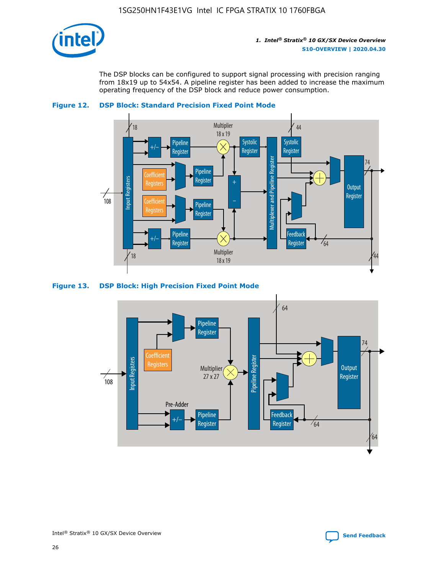

The DSP blocks can be configured to support signal processing with precision ranging from 18x19 up to 54x54. A pipeline register has been added to increase the maximum operating frequency of the DSP block and reduce power consumption.





#### **Figure 13. DSP Block: High Precision Fixed Point Mode**

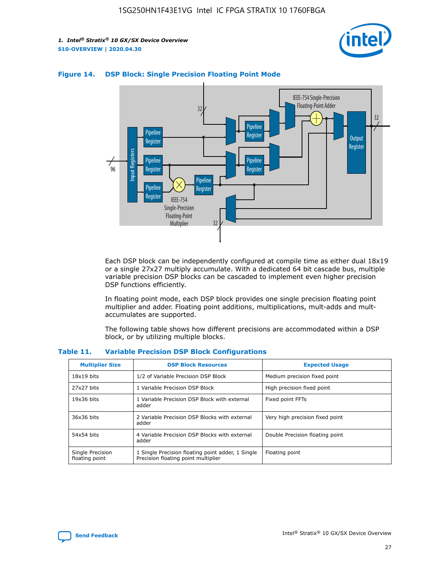



### **Figure 14. DSP Block: Single Precision Floating Point Mode**

Each DSP block can be independently configured at compile time as either dual 18x19 or a single 27x27 multiply accumulate. With a dedicated 64 bit cascade bus, multiple variable precision DSP blocks can be cascaded to implement even higher precision DSP functions efficiently.

In floating point mode, each DSP block provides one single precision floating point multiplier and adder. Floating point additions, multiplications, mult-adds and multaccumulates are supported.

The following table shows how different precisions are accommodated within a DSP block, or by utilizing multiple blocks.

| <b>Multiplier Size</b>             | <b>DSP Block Resources</b>                                                               | <b>Expected Usage</b>           |
|------------------------------------|------------------------------------------------------------------------------------------|---------------------------------|
| $18x19$ bits                       | 1/2 of Variable Precision DSP Block                                                      | Medium precision fixed point    |
| 27x27 bits                         | 1 Variable Precision DSP Block                                                           | High precision fixed point      |
| $19x36$ bits                       | 1 Variable Precision DSP Block with external<br>adder                                    | Fixed point FFTs                |
| 36x36 bits                         | 2 Variable Precision DSP Blocks with external<br>adder                                   | Very high precision fixed point |
| 54x54 bits                         | 4 Variable Precision DSP Blocks with external<br>adder                                   | Double Precision floating point |
| Single Precision<br>floating point | 1 Single Precision floating point adder, 1 Single<br>Precision floating point multiplier | Floating point                  |

#### **Table 11. Variable Precision DSP Block Configurations**

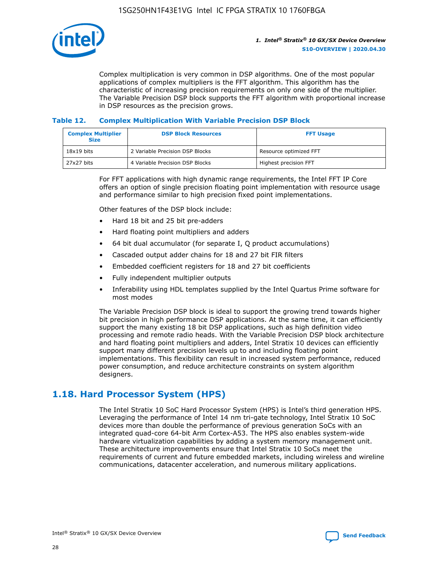

Complex multiplication is very common in DSP algorithms. One of the most popular applications of complex multipliers is the FFT algorithm. This algorithm has the characteristic of increasing precision requirements on only one side of the multiplier. The Variable Precision DSP block supports the FFT algorithm with proportional increase in DSP resources as the precision grows.

### **Table 12. Complex Multiplication With Variable Precision DSP Block**

| <b>Complex Multiplier</b><br><b>Size</b> | <b>DSP Block Resources</b>      | <b>FFT Usage</b>       |  |
|------------------------------------------|---------------------------------|------------------------|--|
| $18x19$ bits                             | 2 Variable Precision DSP Blocks | Resource optimized FFT |  |
| 27x27 bits                               | 4 Variable Precision DSP Blocks | Highest precision FFT  |  |

For FFT applications with high dynamic range requirements, the Intel FFT IP Core offers an option of single precision floating point implementation with resource usage and performance similar to high precision fixed point implementations.

Other features of the DSP block include:

- Hard 18 bit and 25 bit pre-adders
- Hard floating point multipliers and adders
- 64 bit dual accumulator (for separate I, Q product accumulations)
- Cascaded output adder chains for 18 and 27 bit FIR filters
- Embedded coefficient registers for 18 and 27 bit coefficients
- Fully independent multiplier outputs
- Inferability using HDL templates supplied by the Intel Quartus Prime software for most modes

The Variable Precision DSP block is ideal to support the growing trend towards higher bit precision in high performance DSP applications. At the same time, it can efficiently support the many existing 18 bit DSP applications, such as high definition video processing and remote radio heads. With the Variable Precision DSP block architecture and hard floating point multipliers and adders, Intel Stratix 10 devices can efficiently support many different precision levels up to and including floating point implementations. This flexibility can result in increased system performance, reduced power consumption, and reduce architecture constraints on system algorithm designers.

### **1.18. Hard Processor System (HPS)**

The Intel Stratix 10 SoC Hard Processor System (HPS) is Intel's third generation HPS. Leveraging the performance of Intel 14 nm tri-gate technology, Intel Stratix 10 SoC devices more than double the performance of previous generation SoCs with an integrated quad-core 64-bit Arm Cortex-A53. The HPS also enables system-wide hardware virtualization capabilities by adding a system memory management unit. These architecture improvements ensure that Intel Stratix 10 SoCs meet the requirements of current and future embedded markets, including wireless and wireline communications, datacenter acceleration, and numerous military applications.

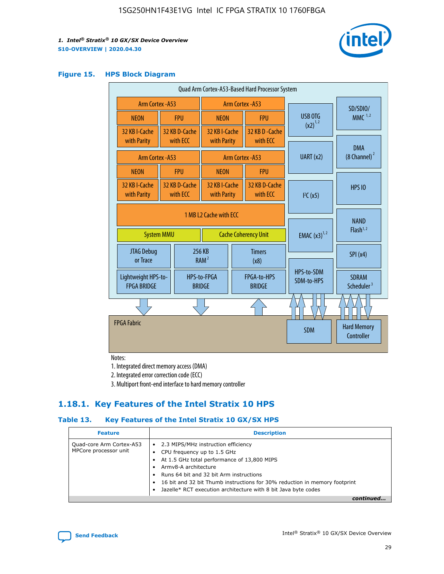

#### **Figure 15. HPS Block Diagram**

| Quad Arm Cortex-A53-Based Hard Processor System |                                             |                           |                                                     |            |                                  |                                     |                                        |
|-------------------------------------------------|---------------------------------------------|---------------------------|-----------------------------------------------------|------------|----------------------------------|-------------------------------------|----------------------------------------|
|                                                 | <b>Arm Cortex - A53</b><br>Arm Cortex - A53 |                           |                                                     |            | SD/SDIO/                         |                                     |                                        |
| <b>NEON</b>                                     |                                             | <b>FPU</b>                | <b>NEON</b>                                         |            | <b>FPU</b>                       | <b>USB OTG</b>                      | $MMC$ <sup>1,2</sup>                   |
| 32 KB I-Cache<br>with Parity                    |                                             | 32 KB D-Cache<br>with ECC | 32 KB I-Cache<br>with Parity                        |            | 32 KB D - Cache<br>with ECC      | $(x2)^{1,2}$                        |                                        |
| <b>Arm Cortex - A53</b>                         |                                             |                           |                                                     |            | Arm Cortex - A53                 | UART(x2)                            | <b>DMA</b><br>$(8 \text{ Channel})^2$  |
| <b>NEON</b>                                     |                                             | <b>FPU</b>                | <b>NEON</b>                                         |            | <b>FPU</b>                       |                                     |                                        |
| 32 KB I-Cache<br>with Parity                    |                                             | 32 KB D-Cache<br>with ECC | 32 KB I-Cache<br>with Parity                        |            | 32 KB D-Cache<br>with FCC        | I <sup>2</sup> C(x5)                | <b>HPS 10</b>                          |
|                                                 | 1 MB 12 Cache with FCC                      |                           |                                                     |            |                                  | <b>NAND</b><br>Flash <sup>1,2</sup> |                                        |
| <b>System MMU</b>                               |                                             |                           |                                                     |            | <b>Cache Coherency Unit</b>      | <b>EMAC</b> $(x3)^{1,2}$            |                                        |
| JTAG Debug<br>or Trace                          |                                             |                           | 256 KB<br><b>Timers</b><br>RAM <sup>2</sup><br>(x8) |            |                                  |                                     | SPI(x4)                                |
| Lightweight HPS-to-<br><b>FPGA BRIDGE</b>       |                                             |                           | HPS-to-FPGA<br><b>BRIDGE</b>                        |            | FPGA-to-HPS<br><b>BRIDGE</b>     | HPS-to-SDM<br>SDM-to-HPS            | <b>SDRAM</b><br>Scheduler <sup>3</sup> |
|                                                 |                                             |                           |                                                     |            |                                  |                                     |                                        |
| <b>FPGA Fabric</b>                              |                                             |                           |                                                     | <b>SDM</b> | <b>Hard Memory</b><br>Controller |                                     |                                        |

Notes:

1. Integrated direct memory access (DMA)

2. Integrated error correction code (ECC)

3. Multiport front-end interface to hard memory controller

### **1.18.1. Key Features of the Intel Stratix 10 HPS**

### **Table 13. Key Features of the Intel Stratix 10 GX/SX HPS**

| <b>Feature</b>                                    | <b>Description</b>                                                                                                                                                                                                                                                                                                                                     |
|---------------------------------------------------|--------------------------------------------------------------------------------------------------------------------------------------------------------------------------------------------------------------------------------------------------------------------------------------------------------------------------------------------------------|
| Quad-core Arm Cortex-A53<br>MPCore processor unit | 2.3 MIPS/MHz instruction efficiency<br>$\bullet$<br>CPU frequency up to 1.5 GHz<br>٠<br>At 1.5 GHz total performance of 13,800 MIPS<br>Army8-A architecture<br>Runs 64 bit and 32 bit Arm instructions<br>16 bit and 32 bit Thumb instructions for 30% reduction in memory footprint<br>Jazelle* RCT execution architecture with 8 bit Java byte codes |
|                                                   |                                                                                                                                                                                                                                                                                                                                                        |

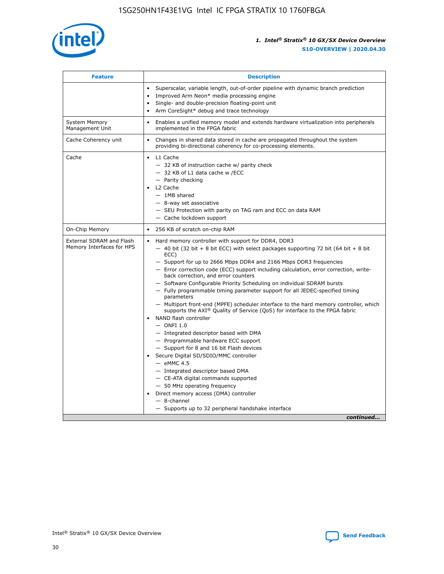

| <b>Feature</b>                                        | <b>Description</b>                                                                                                                                                                                                                                                                                                                                                                                                                                                                                                                                                                                                                                                                                                                                                                                                                                                                                                                                                                                                                                                                                                                                                                                               |  |
|-------------------------------------------------------|------------------------------------------------------------------------------------------------------------------------------------------------------------------------------------------------------------------------------------------------------------------------------------------------------------------------------------------------------------------------------------------------------------------------------------------------------------------------------------------------------------------------------------------------------------------------------------------------------------------------------------------------------------------------------------------------------------------------------------------------------------------------------------------------------------------------------------------------------------------------------------------------------------------------------------------------------------------------------------------------------------------------------------------------------------------------------------------------------------------------------------------------------------------------------------------------------------------|--|
|                                                       | Superscalar, variable length, out-of-order pipeline with dynamic branch prediction<br>Improved Arm Neon* media processing engine<br>Single- and double-precision floating-point unit<br>Arm CoreSight* debug and trace technology<br>٠                                                                                                                                                                                                                                                                                                                                                                                                                                                                                                                                                                                                                                                                                                                                                                                                                                                                                                                                                                           |  |
| <b>System Memory</b><br>Management Unit               | Enables a unified memory model and extends hardware virtualization into peripherals<br>implemented in the FPGA fabric                                                                                                                                                                                                                                                                                                                                                                                                                                                                                                                                                                                                                                                                                                                                                                                                                                                                                                                                                                                                                                                                                            |  |
| Cache Coherency unit                                  | Changes in shared data stored in cache are propagated throughout the system<br>$\bullet$<br>providing bi-directional coherency for co-processing elements.                                                                                                                                                                                                                                                                                                                                                                                                                                                                                                                                                                                                                                                                                                                                                                                                                                                                                                                                                                                                                                                       |  |
| Cache                                                 | L1 Cache<br>$\bullet$<br>- 32 KB of instruction cache w/ parity check<br>- 32 KB of L1 data cache w /ECC<br>- Parity checking<br>L <sub>2</sub> Cache<br>$-$ 1MB shared<br>$-$ 8-way set associative<br>- SEU Protection with parity on TAG ram and ECC on data RAM<br>- Cache lockdown support                                                                                                                                                                                                                                                                                                                                                                                                                                                                                                                                                                                                                                                                                                                                                                                                                                                                                                                  |  |
| On-Chip Memory                                        | 256 KB of scratch on-chip RAM                                                                                                                                                                                                                                                                                                                                                                                                                                                                                                                                                                                                                                                                                                                                                                                                                                                                                                                                                                                                                                                                                                                                                                                    |  |
| External SDRAM and Flash<br>Memory Interfaces for HPS | Hard memory controller with support for DDR4, DDR3<br>$\bullet$<br>$-$ 40 bit (32 bit + 8 bit ECC) with select packages supporting 72 bit (64 bit + 8 bit<br>ECC)<br>- Support for up to 2666 Mbps DDR4 and 2166 Mbps DDR3 frequencies<br>- Error correction code (ECC) support including calculation, error correction, write-<br>back correction, and error counters<br>- Software Configurable Priority Scheduling on individual SDRAM bursts<br>- Fully programmable timing parameter support for all JEDEC-specified timing<br>parameters<br>- Multiport front-end (MPFE) scheduler interface to the hard memory controller, which<br>supports the $AXI^{\circledR}$ Quality of Service (QoS) for interface to the FPGA fabric<br>NAND flash controller<br>$-$ ONFI 1.0<br>- Integrated descriptor based with DMA<br>- Programmable hardware ECC support<br>- Support for 8 and 16 bit Flash devices<br>Secure Digital SD/SDIO/MMC controller<br>$-$ eMMC 4.5<br>- Integrated descriptor based DMA<br>- CE-ATA digital commands supported<br>- 50 MHz operating frequency<br>Direct memory access (DMA) controller<br>٠<br>$-$ 8-channel<br>- Supports up to 32 peripheral handshake interface<br>continued |  |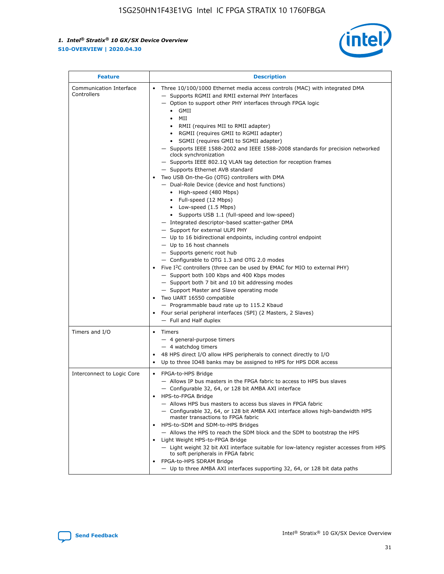

| <b>Feature</b>                         | <b>Description</b>                                                                                                                                                                                                                                                                                                                                                                                                                                                                                                                                                                                                                                                                                                                                                                                                                                                                                                                                                                                                                                                                                                                                                                                                                                                                                                                                                                                                                                                                                                   |
|----------------------------------------|----------------------------------------------------------------------------------------------------------------------------------------------------------------------------------------------------------------------------------------------------------------------------------------------------------------------------------------------------------------------------------------------------------------------------------------------------------------------------------------------------------------------------------------------------------------------------------------------------------------------------------------------------------------------------------------------------------------------------------------------------------------------------------------------------------------------------------------------------------------------------------------------------------------------------------------------------------------------------------------------------------------------------------------------------------------------------------------------------------------------------------------------------------------------------------------------------------------------------------------------------------------------------------------------------------------------------------------------------------------------------------------------------------------------------------------------------------------------------------------------------------------------|
| Communication Interface<br>Controllers | Three 10/100/1000 Ethernet media access controls (MAC) with integrated DMA<br>- Supports RGMII and RMII external PHY Interfaces<br>- Option to support other PHY interfaces through FPGA logic<br>$\bullet$ GMII<br>MII<br>$\bullet$<br>RMII (requires MII to RMII adapter)<br>$\bullet$<br>• RGMII (requires GMII to RGMII adapter)<br>SGMII (requires GMII to SGMII adapter)<br>- Supports IEEE 1588-2002 and IEEE 1588-2008 standards for precision networked<br>clock synchronization<br>- Supports IEEE 802.1Q VLAN tag detection for reception frames<br>- Supports Ethernet AVB standard<br>Two USB On-the-Go (OTG) controllers with DMA<br>- Dual-Role Device (device and host functions)<br>• High-speed (480 Mbps)<br>• Full-speed (12 Mbps)<br>• Low-speed (1.5 Mbps)<br>• Supports USB 1.1 (full-speed and low-speed)<br>- Integrated descriptor-based scatter-gather DMA<br>- Support for external ULPI PHY<br>- Up to 16 bidirectional endpoints, including control endpoint<br>$-$ Up to 16 host channels<br>- Supports generic root hub<br>- Configurable to OTG 1.3 and OTG 2.0 modes<br>Five I <sup>2</sup> C controllers (three can be used by EMAC for MIO to external PHY)<br>- Support both 100 Kbps and 400 Kbps modes<br>- Support both 7 bit and 10 bit addressing modes<br>- Support Master and Slave operating mode<br>Two UART 16550 compatible<br>- Programmable baud rate up to 115.2 Kbaud<br>Four serial peripheral interfaces (SPI) (2 Masters, 2 Slaves)<br>- Full and Half duplex |
| Timers and I/O                         | Timers<br>$\bullet$<br>- 4 general-purpose timers<br>$-4$ watchdog timers<br>48 HPS direct I/O allow HPS peripherals to connect directly to I/O<br>Up to three IO48 banks may be assigned to HPS for HPS DDR access                                                                                                                                                                                                                                                                                                                                                                                                                                                                                                                                                                                                                                                                                                                                                                                                                                                                                                                                                                                                                                                                                                                                                                                                                                                                                                  |
| Interconnect to Logic Core             | • FPGA-to-HPS Bridge<br>- Allows IP bus masters in the FPGA fabric to access to HPS bus slaves<br>- Configurable 32, 64, or 128 bit AMBA AXI interface<br>HPS-to-FPGA Bridge<br>- Allows HPS bus masters to access bus slaves in FPGA fabric<br>- Configurable 32, 64, or 128 bit AMBA AXI interface allows high-bandwidth HPS<br>master transactions to FPGA fabric<br>HPS-to-SDM and SDM-to-HPS Bridges<br>- Allows the HPS to reach the SDM block and the SDM to bootstrap the HPS<br>Light Weight HPS-to-FPGA Bridge<br>- Light weight 32 bit AXI interface suitable for low-latency register accesses from HPS<br>to soft peripherals in FPGA fabric<br>FPGA-to-HPS SDRAM Bridge<br>- Up to three AMBA AXI interfaces supporting 32, 64, or 128 bit data paths                                                                                                                                                                                                                                                                                                                                                                                                                                                                                                                                                                                                                                                                                                                                                  |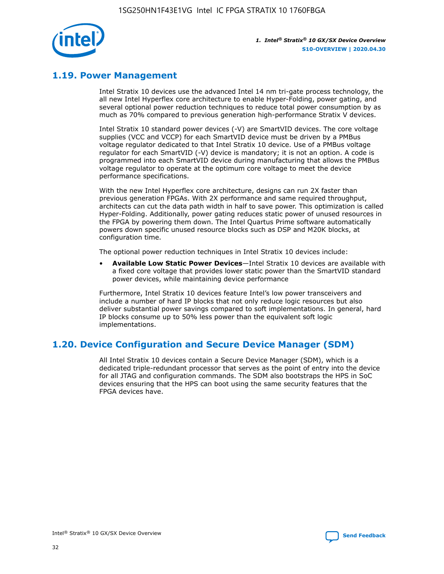

### **1.19. Power Management**

Intel Stratix 10 devices use the advanced Intel 14 nm tri-gate process technology, the all new Intel Hyperflex core architecture to enable Hyper-Folding, power gating, and several optional power reduction techniques to reduce total power consumption by as much as 70% compared to previous generation high-performance Stratix V devices.

Intel Stratix 10 standard power devices (-V) are SmartVID devices. The core voltage supplies (VCC and VCCP) for each SmartVID device must be driven by a PMBus voltage regulator dedicated to that Intel Stratix 10 device. Use of a PMBus voltage regulator for each SmartVID (-V) device is mandatory; it is not an option. A code is programmed into each SmartVID device during manufacturing that allows the PMBus voltage regulator to operate at the optimum core voltage to meet the device performance specifications.

With the new Intel Hyperflex core architecture, designs can run 2X faster than previous generation FPGAs. With 2X performance and same required throughput, architects can cut the data path width in half to save power. This optimization is called Hyper-Folding. Additionally, power gating reduces static power of unused resources in the FPGA by powering them down. The Intel Quartus Prime software automatically powers down specific unused resource blocks such as DSP and M20K blocks, at configuration time.

The optional power reduction techniques in Intel Stratix 10 devices include:

• **Available Low Static Power Devices**—Intel Stratix 10 devices are available with a fixed core voltage that provides lower static power than the SmartVID standard power devices, while maintaining device performance

Furthermore, Intel Stratix 10 devices feature Intel's low power transceivers and include a number of hard IP blocks that not only reduce logic resources but also deliver substantial power savings compared to soft implementations. In general, hard IP blocks consume up to 50% less power than the equivalent soft logic implementations.

### **1.20. Device Configuration and Secure Device Manager (SDM)**

All Intel Stratix 10 devices contain a Secure Device Manager (SDM), which is a dedicated triple-redundant processor that serves as the point of entry into the device for all JTAG and configuration commands. The SDM also bootstraps the HPS in SoC devices ensuring that the HPS can boot using the same security features that the FPGA devices have.

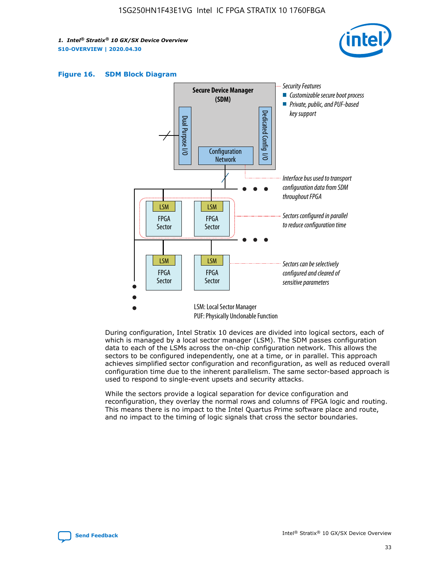





During configuration, Intel Stratix 10 devices are divided into logical sectors, each of which is managed by a local sector manager (LSM). The SDM passes configuration data to each of the LSMs across the on-chip configuration network. This allows the sectors to be configured independently, one at a time, or in parallel. This approach achieves simplified sector configuration and reconfiguration, as well as reduced overall configuration time due to the inherent parallelism. The same sector-based approach is used to respond to single-event upsets and security attacks.

While the sectors provide a logical separation for device configuration and reconfiguration, they overlay the normal rows and columns of FPGA logic and routing. This means there is no impact to the Intel Quartus Prime software place and route, and no impact to the timing of logic signals that cross the sector boundaries.

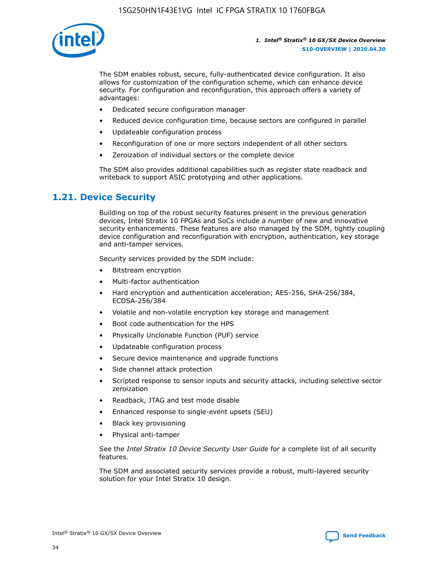

The SDM enables robust, secure, fully-authenticated device configuration. It also allows for customization of the configuration scheme, which can enhance device security. For configuration and reconfiguration, this approach offers a variety of advantages:

- Dedicated secure configuration manager
- Reduced device configuration time, because sectors are configured in parallel
- Updateable configuration process
- Reconfiguration of one or more sectors independent of all other sectors
- Zeroization of individual sectors or the complete device

The SDM also provides additional capabilities such as register state readback and writeback to support ASIC prototyping and other applications.

### **1.21. Device Security**

Building on top of the robust security features present in the previous generation devices, Intel Stratix 10 FPGAs and SoCs include a number of new and innovative security enhancements. These features are also managed by the SDM, tightly coupling device configuration and reconfiguration with encryption, authentication, key storage and anti-tamper services.

Security services provided by the SDM include:

- Bitstream encryption
- Multi-factor authentication
- Hard encryption and authentication acceleration; AES-256, SHA-256/384, ECDSA-256/384
- Volatile and non-volatile encryption key storage and management
- Boot code authentication for the HPS
- Physically Unclonable Function (PUF) service
- Updateable configuration process
- Secure device maintenance and upgrade functions
- Side channel attack protection
- Scripted response to sensor inputs and security attacks, including selective sector zeroization
- Readback, JTAG and test mode disable
- Enhanced response to single-event upsets (SEU)
- Black key provisioning
- Physical anti-tamper

See the *Intel Stratix 10 Device Security User Guide* for a complete list of all security features.

The SDM and associated security services provide a robust, multi-layered security solution for your Intel Stratix 10 design.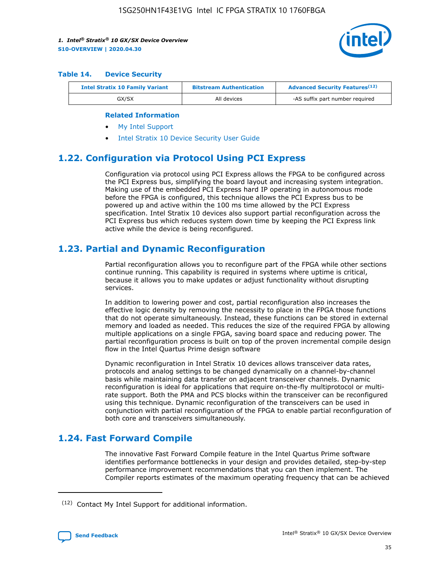

#### **Table 14. Device Security**

| <b>Intel Stratix 10 Family Variant</b> | <b>Bitstream Authentication</b> | <b>Advanced Security Features</b> <sup>(12)</sup> |  |
|----------------------------------------|---------------------------------|---------------------------------------------------|--|
| GX/SX                                  | All devices                     | -AS suffix part number required                   |  |

#### **Related Information**

- [My Intel Support](https://www.intel.com/content/www/us/en/programmable/my-intel/mal-home.html)
- [Intel Stratix 10 Device Security User Guide](https://www.intel.com/content/www/us/en/programmable/documentation/ndq1483601370898.html#wcd1483611014402)

### **1.22. Configuration via Protocol Using PCI Express**

Configuration via protocol using PCI Express allows the FPGA to be configured across the PCI Express bus, simplifying the board layout and increasing system integration. Making use of the embedded PCI Express hard IP operating in autonomous mode before the FPGA is configured, this technique allows the PCI Express bus to be powered up and active within the 100 ms time allowed by the PCI Express specification. Intel Stratix 10 devices also support partial reconfiguration across the PCI Express bus which reduces system down time by keeping the PCI Express link active while the device is being reconfigured.

### **1.23. Partial and Dynamic Reconfiguration**

Partial reconfiguration allows you to reconfigure part of the FPGA while other sections continue running. This capability is required in systems where uptime is critical, because it allows you to make updates or adjust functionality without disrupting services.

In addition to lowering power and cost, partial reconfiguration also increases the effective logic density by removing the necessity to place in the FPGA those functions that do not operate simultaneously. Instead, these functions can be stored in external memory and loaded as needed. This reduces the size of the required FPGA by allowing multiple applications on a single FPGA, saving board space and reducing power. The partial reconfiguration process is built on top of the proven incremental compile design flow in the Intel Quartus Prime design software

Dynamic reconfiguration in Intel Stratix 10 devices allows transceiver data rates, protocols and analog settings to be changed dynamically on a channel-by-channel basis while maintaining data transfer on adjacent transceiver channels. Dynamic reconfiguration is ideal for applications that require on-the-fly multiprotocol or multirate support. Both the PMA and PCS blocks within the transceiver can be reconfigured using this technique. Dynamic reconfiguration of the transceivers can be used in conjunction with partial reconfiguration of the FPGA to enable partial reconfiguration of both core and transceivers simultaneously.

### **1.24. Fast Forward Compile**

The innovative Fast Forward Compile feature in the Intel Quartus Prime software identifies performance bottlenecks in your design and provides detailed, step-by-step performance improvement recommendations that you can then implement. The Compiler reports estimates of the maximum operating frequency that can be achieved

<sup>(12)</sup> Contact My Intel Support for additional information.

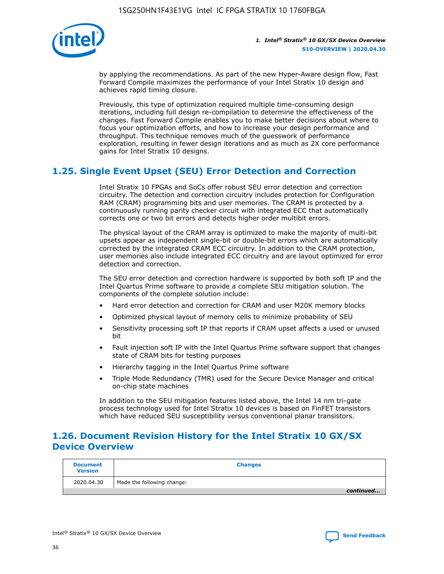

by applying the recommendations. As part of the new Hyper-Aware design flow, Fast Forward Compile maximizes the performance of your Intel Stratix 10 design and achieves rapid timing closure.

Previously, this type of optimization required multiple time-consuming design iterations, including full design re-compilation to determine the effectiveness of the changes. Fast Forward Compile enables you to make better decisions about where to focus your optimization efforts, and how to increase your design performance and throughput. This technique removes much of the guesswork of performance exploration, resulting in fewer design iterations and as much as 2X core performance gains for Intel Stratix 10 designs.

### **1.25. Single Event Upset (SEU) Error Detection and Correction**

Intel Stratix 10 FPGAs and SoCs offer robust SEU error detection and correction circuitry. The detection and correction circuitry includes protection for Configuration RAM (CRAM) programming bits and user memories. The CRAM is protected by a continuously running parity checker circuit with integrated ECC that automatically corrects one or two bit errors and detects higher order multibit errors.

The physical layout of the CRAM array is optimized to make the majority of multi-bit upsets appear as independent single-bit or double-bit errors which are automatically corrected by the integrated CRAM ECC circuitry. In addition to the CRAM protection, user memories also include integrated ECC circuitry and are layout optimized for error detection and correction.

The SEU error detection and correction hardware is supported by both soft IP and the Intel Quartus Prime software to provide a complete SEU mitigation solution. The components of the complete solution include:

- Hard error detection and correction for CRAM and user M20K memory blocks
- Optimized physical layout of memory cells to minimize probability of SEU
- Sensitivity processing soft IP that reports if CRAM upset affects a used or unused bit
- Fault injection soft IP with the Intel Quartus Prime software support that changes state of CRAM bits for testing purposes
- Hierarchy tagging in the Intel Quartus Prime software
- Triple Mode Redundancy (TMR) used for the Secure Device Manager and critical on-chip state machines

In addition to the SEU mitigation features listed above, the Intel 14 nm tri-gate process technology used for Intel Stratix 10 devices is based on FinFET transistors which have reduced SEU susceptibility versus conventional planar transistors.

### **1.26. Document Revision History for the Intel Stratix 10 GX/SX Device Overview**

| <b>Document</b><br><b>Version</b> | <b>Changes</b>             |
|-----------------------------------|----------------------------|
| 2020.04.30                        | Made the following change: |
|                                   | continued                  |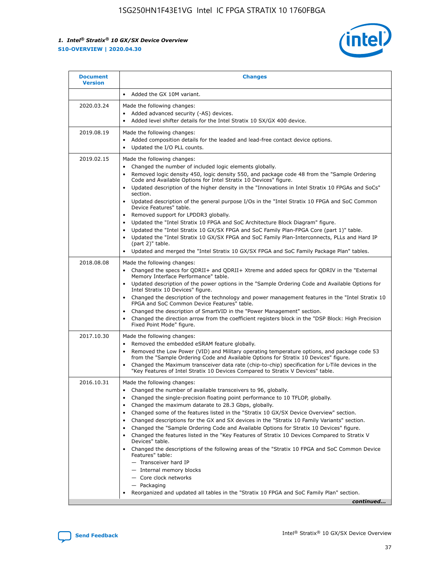

| <b>Document</b><br><b>Version</b> | <b>Changes</b>                                                                                                                                                                                                                                                                                                                                                                                                                                                                                                                                                                                                                                                                                                                                                                                                                                                                                                                                                                                      |
|-----------------------------------|-----------------------------------------------------------------------------------------------------------------------------------------------------------------------------------------------------------------------------------------------------------------------------------------------------------------------------------------------------------------------------------------------------------------------------------------------------------------------------------------------------------------------------------------------------------------------------------------------------------------------------------------------------------------------------------------------------------------------------------------------------------------------------------------------------------------------------------------------------------------------------------------------------------------------------------------------------------------------------------------------------|
|                                   | Added the GX 10M variant.                                                                                                                                                                                                                                                                                                                                                                                                                                                                                                                                                                                                                                                                                                                                                                                                                                                                                                                                                                           |
| 2020.03.24                        | Made the following changes:<br>Added advanced security (-AS) devices.<br>Added level shifter details for the Intel Stratix 10 SX/GX 400 device.                                                                                                                                                                                                                                                                                                                                                                                                                                                                                                                                                                                                                                                                                                                                                                                                                                                     |
| 2019.08.19                        | Made the following changes:<br>Added composition details for the leaded and lead-free contact device options.<br>$\bullet$<br>Updated the I/O PLL counts.                                                                                                                                                                                                                                                                                                                                                                                                                                                                                                                                                                                                                                                                                                                                                                                                                                           |
| 2019.02.15                        | Made the following changes:<br>Changed the number of included logic elements globally.<br>$\bullet$<br>Removed logic density 450, logic density 550, and package code 48 from the "Sample Ordering<br>$\bullet$<br>Code and Available Options for Intel Stratix 10 Devices" figure.<br>Updated description of the higher density in the "Innovations in Intel Stratix 10 FPGAs and SoCs"<br>section.<br>Updated description of the general purpose I/Os in the "Intel Stratix 10 FPGA and SoC Common<br>$\bullet$<br>Device Features" table.<br>Removed support for LPDDR3 globally.<br>Updated the "Intel Stratix 10 FPGA and SoC Architecture Block Diagram" figure.<br>$\bullet$<br>Updated the "Intel Stratix 10 GX/SX FPGA and SoC Family Plan-FPGA Core (part 1)" table.<br>٠<br>Updated the "Intel Stratix 10 GX/SX FPGA and SoC Family Plan-Interconnects, PLLs and Hard IP<br>(part 2)" table.<br>Updated and merged the "Intel Stratix 10 GX/SX FPGA and SoC Family Package Plan" tables. |
| 2018.08.08                        | Made the following changes:<br>Changed the specs for QDRII+ and QDRII+ Xtreme and added specs for QDRIV in the "External<br>$\bullet$<br>Memory Interface Performance" table.<br>Updated description of the power options in the "Sample Ordering Code and Available Options for<br>Intel Stratix 10 Devices" figure.<br>Changed the description of the technology and power management features in the "Intel Stratix 10<br>FPGA and SoC Common Device Features" table.<br>Changed the description of SmartVID in the "Power Management" section.<br>Changed the direction arrow from the coefficient registers block in the "DSP Block: High Precision<br>٠<br>Fixed Point Mode" figure.                                                                                                                                                                                                                                                                                                          |
| 2017.10.30                        | Made the following changes:<br>Removed the embedded eSRAM feature globally.<br>$\bullet$<br>Removed the Low Power (VID) and Military operating temperature options, and package code 53<br>٠<br>from the "Sample Ordering Code and Available Options for Stratix 10 Devices" figure.<br>Changed the Maximum transceiver data rate (chip-to-chip) specification for L-Tile devices in the<br>"Key Features of Intel Stratix 10 Devices Compared to Stratix V Devices" table.                                                                                                                                                                                                                                                                                                                                                                                                                                                                                                                         |
| 2016.10.31                        | Made the following changes:<br>• Changed the number of available transceivers to 96, globally.<br>Changed the single-precision floating point performance to 10 TFLOP, globally.<br>Changed the maximum datarate to 28.3 Gbps, globally.<br>٠<br>Changed some of the features listed in the "Stratix 10 GX/SX Device Overview" section.<br>٠<br>Changed descriptions for the GX and SX devices in the "Stratix 10 Family Variants" section.<br>٠<br>Changed the "Sample Ordering Code and Available Options for Stratix 10 Devices" figure.<br>Changed the features listed in the "Key Features of Stratix 10 Devices Compared to Stratix V<br>Devices" table.<br>Changed the descriptions of the following areas of the "Stratix 10 FPGA and SoC Common Device<br>Features" table:<br>- Transceiver hard IP<br>- Internal memory blocks<br>- Core clock networks<br>- Packaging<br>Reorganized and updated all tables in the "Stratix 10 FPGA and SoC Family Plan" section.                        |
|                                   | continued                                                                                                                                                                                                                                                                                                                                                                                                                                                                                                                                                                                                                                                                                                                                                                                                                                                                                                                                                                                           |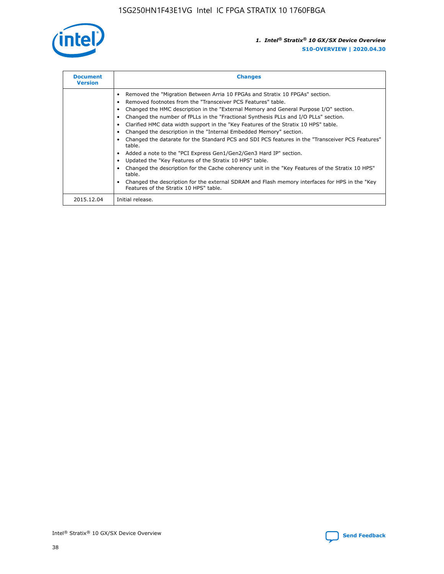

| <b>Document</b><br><b>Version</b> | <b>Changes</b>                                                                                                                                                                                                                                                                                                                                                                                                                                                                                                                                                                                                                                                                                                                                                                                                                                                                                                                                                                                     |
|-----------------------------------|----------------------------------------------------------------------------------------------------------------------------------------------------------------------------------------------------------------------------------------------------------------------------------------------------------------------------------------------------------------------------------------------------------------------------------------------------------------------------------------------------------------------------------------------------------------------------------------------------------------------------------------------------------------------------------------------------------------------------------------------------------------------------------------------------------------------------------------------------------------------------------------------------------------------------------------------------------------------------------------------------|
|                                   | Removed the "Migration Between Arria 10 FPGAs and Stratix 10 FPGAs" section.<br>Removed footnotes from the "Transceiver PCS Features" table.<br>Changed the HMC description in the "External Memory and General Purpose I/O" section.<br>Changed the number of fPLLs in the "Fractional Synthesis PLLs and I/O PLLs" section.<br>Clarified HMC data width support in the "Key Features of the Stratix 10 HPS" table.<br>Changed the description in the "Internal Embedded Memory" section.<br>Changed the datarate for the Standard PCS and SDI PCS features in the "Transceiver PCS Features"<br>table.<br>Added a note to the "PCI Express Gen1/Gen2/Gen3 Hard IP" section.<br>Updated the "Key Features of the Stratix 10 HPS" table.<br>Changed the description for the Cache coherency unit in the "Key Features of the Stratix 10 HPS"<br>table.<br>Changed the description for the external SDRAM and Flash memory interfaces for HPS in the "Key<br>Features of the Stratix 10 HPS" table. |
| 2015.12.04                        | Initial release.                                                                                                                                                                                                                                                                                                                                                                                                                                                                                                                                                                                                                                                                                                                                                                                                                                                                                                                                                                                   |